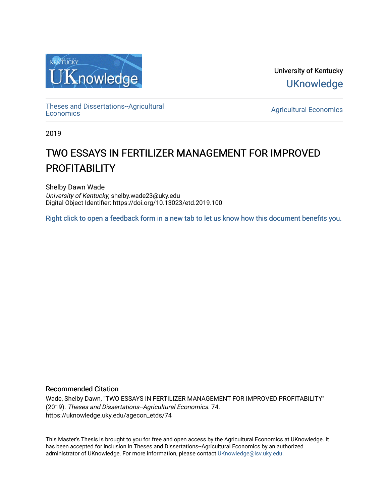

University of Kentucky **UKnowledge** 

[Theses and Dissertations--Agricultural](https://uknowledge.uky.edu/agecon_etds)

[Economics](https://uknowledge.uky.edu/agecon_etds) [Agricultural Economics](https://uknowledge.uky.edu/agecon) 

2019

# TWO ESSAYS IN FERTILIZER MANAGEMENT FOR IMPROVED **PROFITABILITY**

Shelby Dawn Wade University of Kentucky, shelby.wade23@uky.edu Digital Object Identifier: https://doi.org/10.13023/etd.2019.100

[Right click to open a feedback form in a new tab to let us know how this document benefits you.](https://uky.az1.qualtrics.com/jfe/form/SV_9mq8fx2GnONRfz7)

## Recommended Citation

Wade, Shelby Dawn, "TWO ESSAYS IN FERTILIZER MANAGEMENT FOR IMPROVED PROFITABILITY" (2019). Theses and Dissertations--Agricultural Economics. 74. https://uknowledge.uky.edu/agecon\_etds/74

This Master's Thesis is brought to you for free and open access by the Agricultural Economics at UKnowledge. It has been accepted for inclusion in Theses and Dissertations--Agricultural Economics by an authorized administrator of UKnowledge. For more information, please contact [UKnowledge@lsv.uky.edu](mailto:UKnowledge@lsv.uky.edu).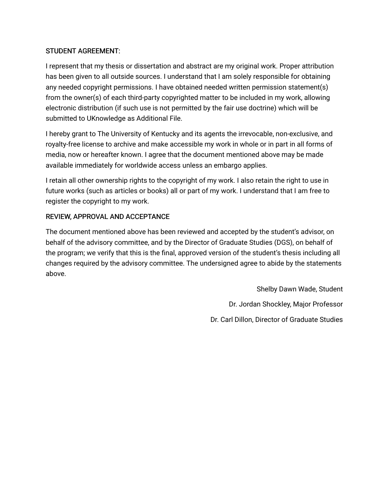## STUDENT AGREEMENT:

I represent that my thesis or dissertation and abstract are my original work. Proper attribution has been given to all outside sources. I understand that I am solely responsible for obtaining any needed copyright permissions. I have obtained needed written permission statement(s) from the owner(s) of each third-party copyrighted matter to be included in my work, allowing electronic distribution (if such use is not permitted by the fair use doctrine) which will be submitted to UKnowledge as Additional File.

I hereby grant to The University of Kentucky and its agents the irrevocable, non-exclusive, and royalty-free license to archive and make accessible my work in whole or in part in all forms of media, now or hereafter known. I agree that the document mentioned above may be made available immediately for worldwide access unless an embargo applies.

I retain all other ownership rights to the copyright of my work. I also retain the right to use in future works (such as articles or books) all or part of my work. I understand that I am free to register the copyright to my work.

## REVIEW, APPROVAL AND ACCEPTANCE

The document mentioned above has been reviewed and accepted by the student's advisor, on behalf of the advisory committee, and by the Director of Graduate Studies (DGS), on behalf of the program; we verify that this is the final, approved version of the student's thesis including all changes required by the advisory committee. The undersigned agree to abide by the statements above.

> Shelby Dawn Wade, Student Dr. Jordan Shockley, Major Professor Dr. Carl Dillon, Director of Graduate Studies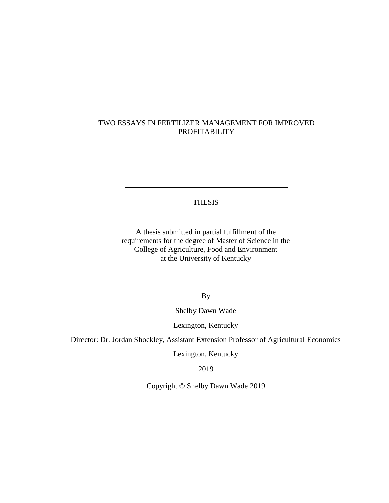## TWO ESSAYS IN FERTILIZER MANAGEMENT FOR IMPROVED PROFITABILITY

#### THESIS

A thesis submitted in partial fulfillment of the requirements for the degree of Master of Science in the College of Agriculture, Food and Environment at the University of Kentucky

By

Shelby Dawn Wade

Lexington, Kentucky

Director: Dr. Jordan Shockley, Assistant Extension Professor of Agricultural Economics

Lexington, Kentucky

2019

Copyright © Shelby Dawn Wade 2019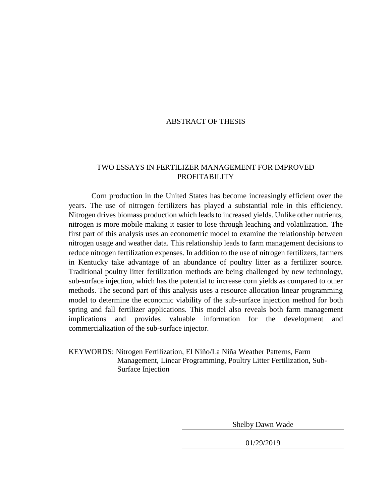#### ABSTRACT OF THESIS

## TWO ESSAYS IN FERTILIZER MANAGEMENT FOR IMPROVED PROFITABILITY

Corn production in the United States has become increasingly efficient over the years. The use of nitrogen fertilizers has played a substantial role in this efficiency. Nitrogen drives biomass production which leads to increased yields. Unlike other nutrients, nitrogen is more mobile making it easier to lose through leaching and volatilization. The first part of this analysis uses an econometric model to examine the relationship between nitrogen usage and weather data. This relationship leads to farm management decisions to reduce nitrogen fertilization expenses. In addition to the use of nitrogen fertilizers, farmers in Kentucky take advantage of an abundance of poultry litter as a fertilizer source. Traditional poultry litter fertilization methods are being challenged by new technology, sub-surface injection, which has the potential to increase corn yields as compared to other methods. The second part of this analysis uses a resource allocation linear programming model to determine the economic viability of the sub-surface injection method for both spring and fall fertilizer applications. This model also reveals both farm management implications and provides valuable information for the development and commercialization of the sub-surface injector.

KEYWORDS: Nitrogen Fertilization, El Niño/La Niña Weather Patterns, Farm Management, Linear Programming, Poultry Litter Fertilization, Sub-Surface Injection

Shelby Dawn Wade

01/29/2019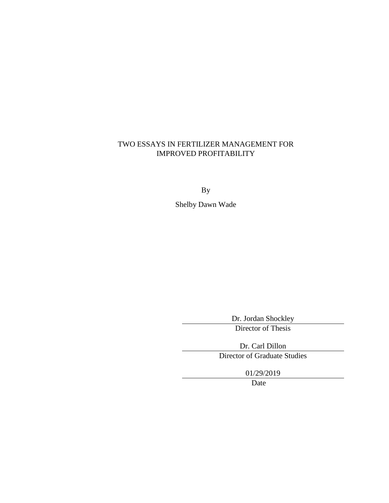## TWO ESSAYS IN FERTILIZER MANAGEMENT FOR IMPROVED PROFITABILITY

By

Shelby Dawn Wade

Dr. Jordan Shockley

Director of Thesis

Dr. Carl Dillon Director of Graduate Studies

01/29/2019

Date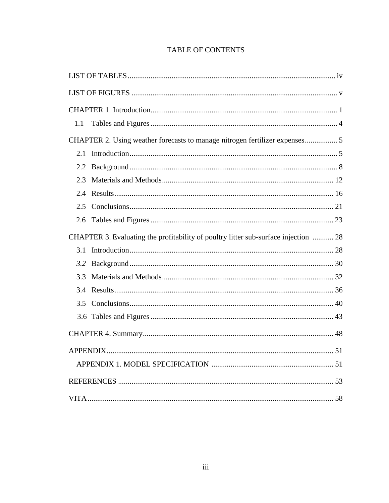## **TABLE OF CONTENTS**

| 1.1           |                                                                                     |  |
|---------------|-------------------------------------------------------------------------------------|--|
|               | CHAPTER 2. Using weather forecasts to manage nitrogen fertilizer expenses 5         |  |
| 2.1           |                                                                                     |  |
| $2.2^{\circ}$ |                                                                                     |  |
| 2.3           |                                                                                     |  |
| 2.4           |                                                                                     |  |
| 2.5           |                                                                                     |  |
| 2.6           |                                                                                     |  |
|               | CHAPTER 3. Evaluating the profitability of poultry litter sub-surface injection  28 |  |
| 3.1           |                                                                                     |  |
| 3.2           |                                                                                     |  |
| 3.3           |                                                                                     |  |
| 3.4           |                                                                                     |  |
| 3.5           |                                                                                     |  |
|               |                                                                                     |  |
|               |                                                                                     |  |
|               |                                                                                     |  |
|               |                                                                                     |  |
|               |                                                                                     |  |
|               |                                                                                     |  |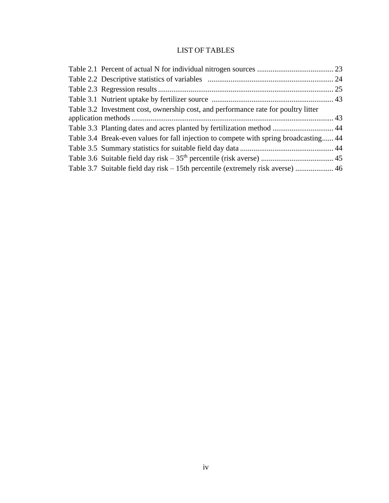## LIST OF TABLES

<span id="page-6-0"></span>

| Table 3.2 Investment cost, ownership cost, and performance rate for poultry litter    |  |
|---------------------------------------------------------------------------------------|--|
|                                                                                       |  |
| Table 3.3 Planting dates and acres planted by fertilization method  44                |  |
| Table 3.4 Break-even values for fall injection to compete with spring broadcasting 44 |  |
|                                                                                       |  |
|                                                                                       |  |
| Table 3.7 Suitable field day risk – 15th percentile (extremely risk averse)  46       |  |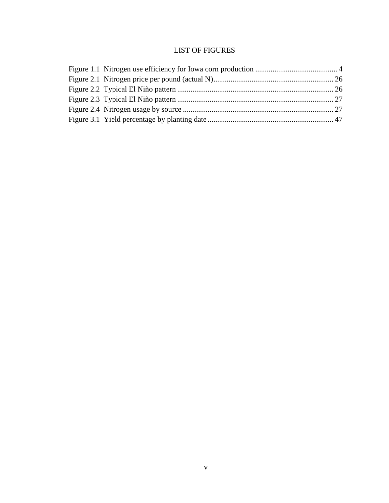## LIST OF FIGURES

<span id="page-7-0"></span>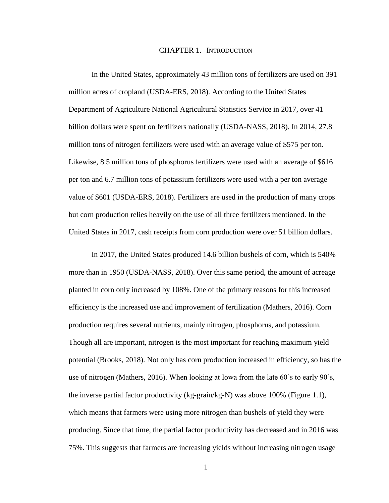#### CHAPTER 1. INTRODUCTION

In the United States, approximately 43 million tons of fertilizers are used on 391 million acres of cropland (USDA-ERS, 2018). According to the United States Department of Agriculture National Agricultural Statistics Service in 2017, over 41 billion dollars were spent on fertilizers nationally (USDA-NASS, 2018). In 2014, 27.8 million tons of nitrogen fertilizers were used with an average value of \$575 per ton. Likewise, 8.5 million tons of phosphorus fertilizers were used with an average of \$616 per ton and 6.7 million tons of potassium fertilizers were used with a per ton average value of \$601 (USDA-ERS, 2018). Fertilizers are used in the production of many crops but corn production relies heavily on the use of all three fertilizers mentioned. In the United States in 2017, cash receipts from corn production were over 51 billion dollars.

In 2017, the United States produced 14.6 billion bushels of corn, which is 540% more than in 1950 (USDA-NASS, 2018). Over this same period, the amount of acreage planted in corn only increased by 108%. One of the primary reasons for this increased efficiency is the increased use and improvement of fertilization (Mathers, 2016). Corn production requires several nutrients, mainly nitrogen, phosphorus, and potassium. Though all are important, nitrogen is the most important for reaching maximum yield potential (Brooks, 2018). Not only has corn production increased in efficiency, so has the use of nitrogen (Mathers, 2016). When looking at Iowa from the late 60's to early 90's, the inverse partial factor productivity (kg-grain/kg-N) was above 100% (Figure 1.1), which means that farmers were using more nitrogen than bushels of yield they were producing. Since that time, the partial factor productivity has decreased and in 2016 was 75%. This suggests that farmers are increasing yields without increasing nitrogen usage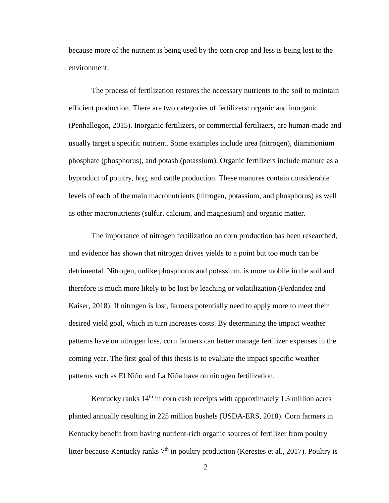because more of the nutrient is being used by the corn crop and less is being lost to the environment.

The process of fertilization restores the necessary nutrients to the soil to maintain efficient production. There are two categories of fertilizers: organic and inorganic (Penhallegon, 2015). Inorganic fertilizers, or commercial fertilizers, are human-made and usually target a specific nutrient. Some examples include urea (nitrogen), diammonium phosphate (phosphorus), and potash (potassium). Organic fertilizers include manure as a byproduct of poultry, hog, and cattle production. These manures contain considerable levels of each of the main macronutrients (nitrogen, potassium, and phosphorus) as well as other macronutrients (sulfur, calcium, and magnesium) and organic matter.

The importance of nitrogen fertilization on corn production has been researched, and evidence has shown that nitrogen drives yields to a point but too much can be detrimental. Nitrogen, unlike phosphorus and potassium, is more mobile in the soil and therefore is much more likely to be lost by leaching or volatilization (Ferdandez and Kaiser, 2018). If nitrogen is lost, farmers potentially need to apply more to meet their desired yield goal, which in turn increases costs. By determining the impact weather patterns have on nitrogen loss, corn farmers can better manage fertilizer expenses in the coming year. The first goal of this thesis is to evaluate the impact specific weather patterns such as El Niño and La Niña have on nitrogen fertilization.

Kentucky ranks  $14<sup>th</sup>$  in corn cash receipts with approximately 1.3 million acres planted annually resulting in 225 million bushels (USDA-ERS, 2018). Corn farmers in Kentucky benefit from having nutrient-rich organic sources of fertilizer from poultry litter because Kentucky ranks  $7<sup>th</sup>$  in poultry production (Kerestes et al., 2017). Poultry is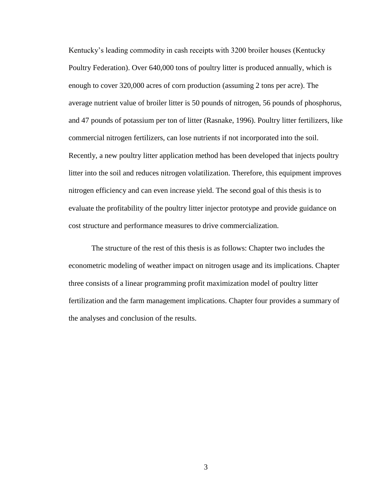Kentucky's leading commodity in cash receipts with 3200 broiler houses (Kentucky Poultry Federation). Over 640,000 tons of poultry litter is produced annually, which is enough to cover 320,000 acres of corn production (assuming 2 tons per acre). The average nutrient value of broiler litter is 50 pounds of nitrogen, 56 pounds of phosphorus, and 47 pounds of potassium per ton of litter (Rasnake, 1996). Poultry litter fertilizers, like commercial nitrogen fertilizers, can lose nutrients if not incorporated into the soil. Recently, a new poultry litter application method has been developed that injects poultry litter into the soil and reduces nitrogen volatilization. Therefore, this equipment improves nitrogen efficiency and can even increase yield. The second goal of this thesis is to evaluate the profitability of the poultry litter injector prototype and provide guidance on cost structure and performance measures to drive commercialization.

The structure of the rest of this thesis is as follows: Chapter two includes the econometric modeling of weather impact on nitrogen usage and its implications. Chapter three consists of a linear programming profit maximization model of poultry litter fertilization and the farm management implications. Chapter four provides a summary of the analyses and conclusion of the results.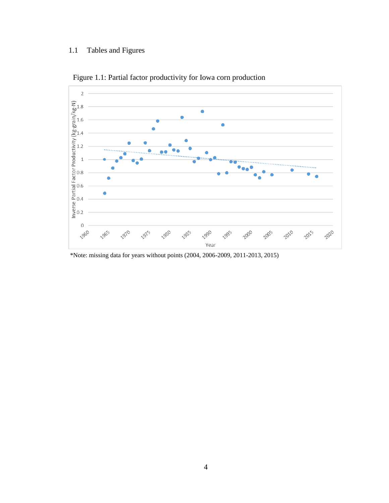## 1.1 Tables and Figures



Figure 1.1: Partial factor productivity for Iowa corn production

\*Note: missing data for years without points (2004, 2006-2009, 2011-2013, 2015)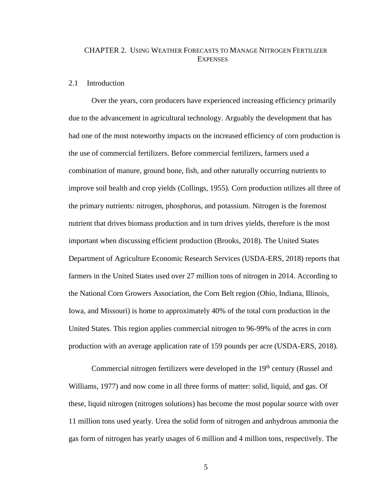### CHAPTER 2. USING WEATHER FORECASTS TO MANAGE NITROGEN FERTILIZER **EXPENSES**

#### 2.1 Introduction

Over the years, corn producers have experienced increasing efficiency primarily due to the advancement in agricultural technology. Arguably the development that has had one of the most noteworthy impacts on the increased efficiency of corn production is the use of commercial fertilizers. Before commercial fertilizers, farmers used a combination of manure, ground bone, fish, and other naturally occurring nutrients to improve soil health and crop yields (Collings, 1955). Corn production utilizes all three of the primary nutrients: nitrogen, phosphorus, and potassium. Nitrogen is the foremost nutrient that drives biomass production and in turn drives yields, therefore is the most important when discussing efficient production (Brooks, 2018). The United States Department of Agriculture Economic Research Services (USDA-ERS, 2018) reports that farmers in the United States used over 27 million tons of nitrogen in 2014. According to the National Corn Growers Association, the Corn Belt region (Ohio, Indiana, Illinois, Iowa, and Missouri) is home to approximately 40% of the total corn production in the United States. This region applies commercial nitrogen to 96-99% of the acres in corn production with an average application rate of 159 pounds per acre (USDA-ERS, 2018).

Commercial nitrogen fertilizers were developed in the 19<sup>th</sup> century (Russel and Williams, 1977) and now come in all three forms of matter: solid, liquid, and gas. Of these, liquid nitrogen (nitrogen solutions) has become the most popular source with over 11 million tons used yearly. Urea the solid form of nitrogen and anhydrous ammonia the gas form of nitrogen has yearly usages of 6 million and 4 million tons, respectively. The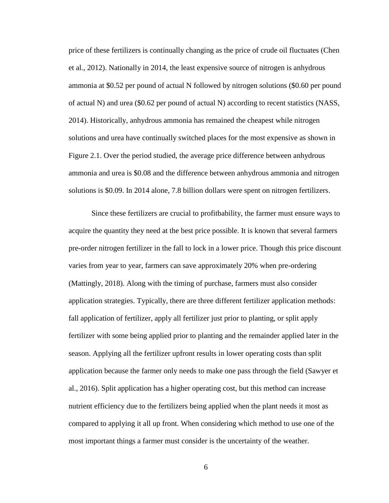price of these fertilizers is continually changing as the price of crude oil fluctuates (Chen et al., 2012). Nationally in 2014, the least expensive source of nitrogen is anhydrous ammonia at \$0.52 per pound of actual N followed by nitrogen solutions (\$0.60 per pound of actual N) and urea (\$0.62 per pound of actual N) according to recent statistics (NASS, 2014). Historically, anhydrous ammonia has remained the cheapest while nitrogen solutions and urea have continually switched places for the most expensive as shown in Figure 2.1. Over the period studied, the average price difference between anhydrous ammonia and urea is \$0.08 and the difference between anhydrous ammonia and nitrogen solutions is \$0.09. In 2014 alone, 7.8 billion dollars were spent on nitrogen fertilizers.

Since these fertilizers are crucial to profitbability, the farmer must ensure ways to acquire the quantity they need at the best price possible. It is known that several farmers pre-order nitrogen fertilizer in the fall to lock in a lower price. Though this price discount varies from year to year, farmers can save approximately 20% when pre-ordering (Mattingly, 2018). Along with the timing of purchase, farmers must also consider application strategies. Typically, there are three different fertilizer application methods: fall application of fertilizer, apply all fertilizer just prior to planting, or split apply fertilizer with some being applied prior to planting and the remainder applied later in the season. Applying all the fertilizer upfront results in lower operating costs than split application because the farmer only needs to make one pass through the field (Sawyer et al., 2016). Split application has a higher operating cost, but this method can increase nutrient efficiency due to the fertilizers being applied when the plant needs it most as compared to applying it all up front. When considering which method to use one of the most important things a farmer must consider is the uncertainty of the weather.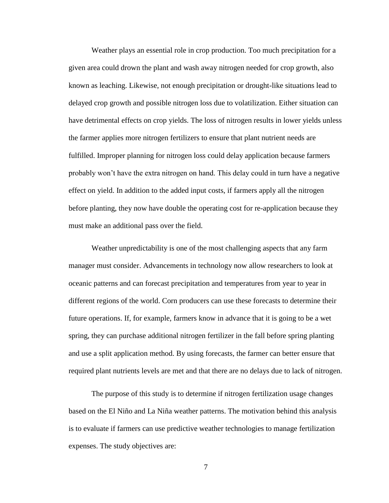Weather plays an essential role in crop production. Too much precipitation for a given area could drown the plant and wash away nitrogen needed for crop growth, also known as leaching. Likewise, not enough precipitation or drought-like situations lead to delayed crop growth and possible nitrogen loss due to volatilization. Either situation can have detrimental effects on crop yields. The loss of nitrogen results in lower yields unless the farmer applies more nitrogen fertilizers to ensure that plant nutrient needs are fulfilled. Improper planning for nitrogen loss could delay application because farmers probably won't have the extra nitrogen on hand. This delay could in turn have a negative effect on yield. In addition to the added input costs, if farmers apply all the nitrogen before planting, they now have double the operating cost for re-application because they must make an additional pass over the field.

Weather unpredictability is one of the most challenging aspects that any farm manager must consider. Advancements in technology now allow researchers to look at oceanic patterns and can forecast precipitation and temperatures from year to year in different regions of the world. Corn producers can use these forecasts to determine their future operations. If, for example, farmers know in advance that it is going to be a wet spring, they can purchase additional nitrogen fertilizer in the fall before spring planting and use a split application method. By using forecasts, the farmer can better ensure that required plant nutrients levels are met and that there are no delays due to lack of nitrogen.

The purpose of this study is to determine if nitrogen fertilization usage changes based on the El Niño and La Niña weather patterns. The motivation behind this analysis is to evaluate if farmers can use predictive weather technologies to manage fertilization expenses. The study objectives are: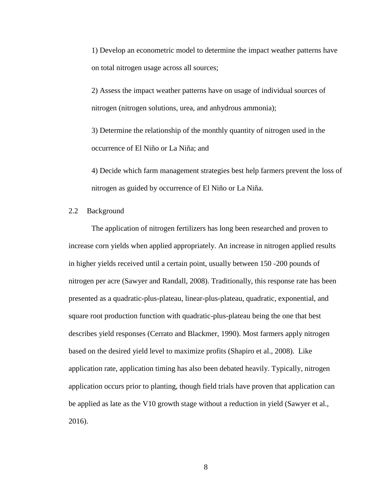1) Develop an econometric model to determine the impact weather patterns have on total nitrogen usage across all sources;

2) Assess the impact weather patterns have on usage of individual sources of nitrogen (nitrogen solutions, urea, and anhydrous ammonia);

3) Determine the relationship of the monthly quantity of nitrogen used in the occurrence of El Niño or La Niña; and

4) Decide which farm management strategies best help farmers prevent the loss of nitrogen as guided by occurrence of El Niño or La Niña.

2.2 Background

The application of nitrogen fertilizers has long been researched and proven to increase corn yields when applied appropriately. An increase in nitrogen applied results in higher yields received until a certain point, usually between 150 -200 pounds of nitrogen per acre (Sawyer and Randall, 2008). Traditionally, this response rate has been presented as a quadratic-plus-plateau, linear-plus-plateau, quadratic, exponential, and square root production function with quadratic-plus-plateau being the one that best describes yield responses (Cerrato and Blackmer, 1990). Most farmers apply nitrogen based on the desired yield level to maximize profits (Shapiro et al., 2008). Like application rate, application timing has also been debated heavily. Typically, nitrogen application occurs prior to planting, though field trials have proven that application can be applied as late as the V10 growth stage without a reduction in yield (Sawyer et al., 2016).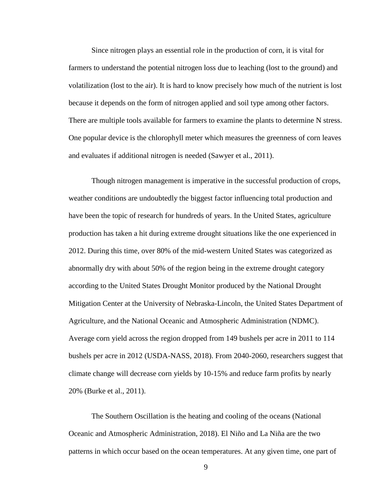Since nitrogen plays an essential role in the production of corn, it is vital for farmers to understand the potential nitrogen loss due to leaching (lost to the ground) and volatilization (lost to the air). It is hard to know precisely how much of the nutrient is lost because it depends on the form of nitrogen applied and soil type among other factors. There are multiple tools available for farmers to examine the plants to determine N stress. One popular device is the chlorophyll meter which measures the greenness of corn leaves and evaluates if additional nitrogen is needed (Sawyer et al., 2011).

Though nitrogen management is imperative in the successful production of crops, weather conditions are undoubtedly the biggest factor influencing total production and have been the topic of research for hundreds of years. In the United States, agriculture production has taken a hit during extreme drought situations like the one experienced in 2012. During this time, over 80% of the mid-western United States was categorized as abnormally dry with about 50% of the region being in the extreme drought category according to the United States Drought Monitor produced by the National Drought Mitigation Center at the University of Nebraska-Lincoln, the United States Department of Agriculture, and the National Oceanic and Atmospheric Administration (NDMC). Average corn yield across the region dropped from 149 bushels per acre in 2011 to 114 bushels per acre in 2012 (USDA-NASS, 2018). From 2040-2060, researchers suggest that climate change will decrease corn yields by 10-15% and reduce farm profits by nearly 20% (Burke et al., 2011).

The Southern Oscillation is the heating and cooling of the oceans (National Oceanic and Atmospheric Administration, 2018). El Niño and La Niña are the two patterns in which occur based on the ocean temperatures. At any given time, one part of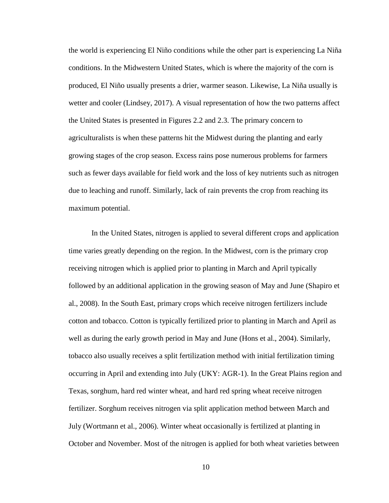the world is experiencing El Niño conditions while the other part is experiencing La Niña conditions. In the Midwestern United States, which is where the majority of the corn is produced, El Niño usually presents a drier, warmer season. Likewise, La Niña usually is wetter and cooler (Lindsey, 2017). A visual representation of how the two patterns affect the United States is presented in Figures 2.2 and 2.3. The primary concern to agriculturalists is when these patterns hit the Midwest during the planting and early growing stages of the crop season. Excess rains pose numerous problems for farmers such as fewer days available for field work and the loss of key nutrients such as nitrogen due to leaching and runoff. Similarly, lack of rain prevents the crop from reaching its maximum potential.

In the United States, nitrogen is applied to several different crops and application time varies greatly depending on the region. In the Midwest, corn is the primary crop receiving nitrogen which is applied prior to planting in March and April typically followed by an additional application in the growing season of May and June (Shapiro et al., 2008). In the South East, primary crops which receive nitrogen fertilizers include cotton and tobacco. Cotton is typically fertilized prior to planting in March and April as well as during the early growth period in May and June (Hons et al., 2004). Similarly, tobacco also usually receives a split fertilization method with initial fertilization timing occurring in April and extending into July (UKY: AGR-1). In the Great Plains region and Texas, sorghum, hard red winter wheat, and hard red spring wheat receive nitrogen fertilizer. Sorghum receives nitrogen via split application method between March and July (Wortmann et al., 2006). Winter wheat occasionally is fertilized at planting in October and November. Most of the nitrogen is applied for both wheat varieties between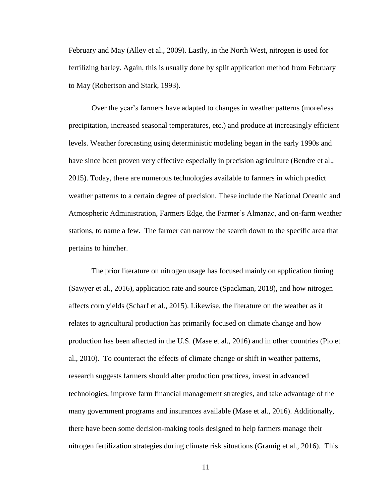February and May (Alley et al., 2009). Lastly, in the North West, nitrogen is used for fertilizing barley. Again, this is usually done by split application method from February to May (Robertson and Stark, 1993).

Over the year's farmers have adapted to changes in weather patterns (more/less precipitation, increased seasonal temperatures, etc.) and produce at increasingly efficient levels. Weather forecasting using deterministic modeling began in the early 1990s and have since been proven very effective especially in precision agriculture (Bendre et al., 2015). Today, there are numerous technologies available to farmers in which predict weather patterns to a certain degree of precision. These include the National Oceanic and Atmospheric Administration, Farmers Edge, the Farmer's Almanac, and on-farm weather stations, to name a few. The farmer can narrow the search down to the specific area that pertains to him/her.

The prior literature on nitrogen usage has focused mainly on application timing (Sawyer et al., 2016), application rate and source (Spackman, 2018), and how nitrogen affects corn yields (Scharf et al., 2015). Likewise, the literature on the weather as it relates to agricultural production has primarily focused on climate change and how production has been affected in the U.S. (Mase et al., 2016) and in other countries (Pio et al., 2010). To counteract the effects of climate change or shift in weather patterns, research suggests farmers should alter production practices, invest in advanced technologies, improve farm financial management strategies, and take advantage of the many government programs and insurances available (Mase et al., 2016). Additionally, there have been some decision-making tools designed to help farmers manage their nitrogen fertilization strategies during climate risk situations (Gramig et al., 2016). This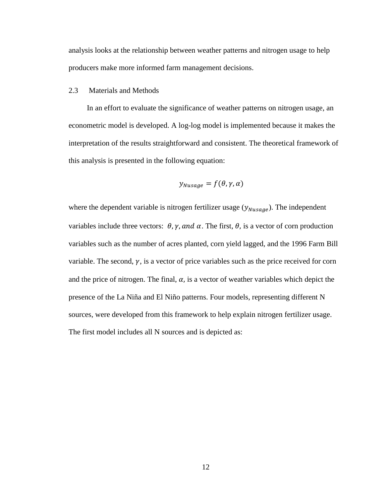analysis looks at the relationship between weather patterns and nitrogen usage to help producers make more informed farm management decisions.

<span id="page-19-0"></span>2.3 Materials and Methods

In an effort to evaluate the significance of weather patterns on nitrogen usage, an econometric model is developed. A log-log model is implemented because it makes the interpretation of the results straightforward and consistent. The theoretical framework of this analysis is presented in the following equation:

$$
y_{Nusage} = f(\theta, \gamma, \alpha)
$$

where the dependent variable is nitrogen fertilizer usage  $(y_{Nusage})$ . The independent variables include three vectors:  $\theta$ ,  $\gamma$ , and  $\alpha$ . The first,  $\theta$ , is a vector of corn production variables such as the number of acres planted, corn yield lagged, and the 1996 Farm Bill variable. The second,  $\gamma$ , is a vector of price variables such as the price received for corn and the price of nitrogen. The final,  $\alpha$ , is a vector of weather variables which depict the presence of the La Niña and El Niño patterns. Four models, representing different N sources, were developed from this framework to help explain nitrogen fertilizer usage. The first model includes all N sources and is depicted as: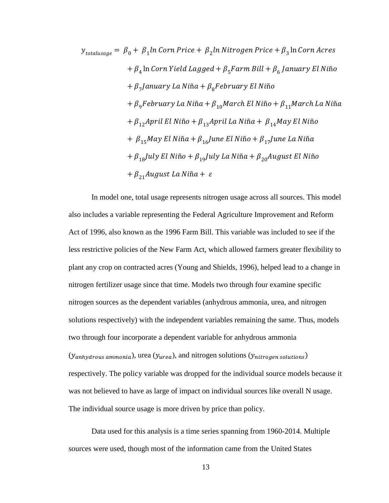$$
y_{totalusage} = \beta_0 + \beta_1 ln \text{ Corn Price} + \beta_2 ln \text{ Nitrogen Price} + \beta_3 ln \text{ Corn Arces}
$$
  
+  $\beta_4$  ln \text{Corn Yield Lagged} +  $\beta_5$  Farm Bill +  $\beta_6$  January El Niño  
+  $\beta_7$ January La Niña +  $\beta_8$ February El Niño  
+  $\beta_9$ February La Niña +  $\beta_{10}$ March El Niño +  $\beta_{11}$ March La Niña  
+  $\beta_{12}$ April El Niño +  $\beta_{13}$ April La Niña +  $\beta_{14}$ May El Niño  
+  $\beta_{15}$ May El Niña +  $\beta_{16}$ June El Niño +  $\beta_{17}$ June La Niña  
+  $\beta_{18}$ July El Niño +  $\beta_{19}$ luly La Niña +  $\beta_{20}$ August El Niño  
+  $\beta_{21}$ August La Niña +  $\varepsilon$ 

In model one, total usage represents nitrogen usage across all sources. This model also includes a variable representing the Federal Agriculture Improvement and Reform Act of 1996, also known as the 1996 Farm Bill. This variable was included to see if the less restrictive policies of the New Farm Act, which allowed farmers greater flexibility to plant any crop on contracted acres (Young and Shields, 1996), helped lead to a change in nitrogen fertilizer usage since that time. Models two through four examine specific nitrogen sources as the dependent variables (anhydrous ammonia, urea, and nitrogen solutions respectively) with the independent variables remaining the same. Thus, models two through four incorporate a dependent variable for anhydrous ammonia  $(y_{\text{anhydrous ammonia}})$ , urea  $(y_{\text{area}})$ , and nitrogen solutions  $(y_{\text{nitrogen solutions}})$ respectively. The policy variable was dropped for the individual source models because it was not believed to have as large of impact on individual sources like overall N usage. The individual source usage is more driven by price than policy.

Data used for this analysis is a time series spanning from 1960-2014. Multiple sources were used, though most of the information came from the United States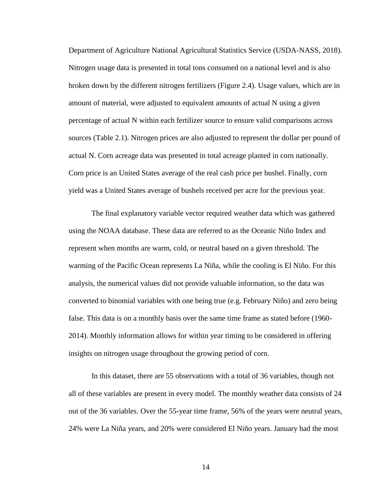Department of Agriculture National Agricultural Statistics Service (USDA-NASS, 2018). Nitrogen usage data is presented in total tons consumed on a national level and is also broken down by the different nitrogen fertilizers (Figure 2.4). Usage values, which are in amount of material, were adjusted to equivalent amounts of actual N using a given percentage of actual N within each fertilizer source to ensure valid comparisons across sources (Table 2.1). Nitrogen prices are also adjusted to represent the dollar per pound of actual N. Corn acreage data was presented in total acreage planted in corn nationally. Corn price is an United States average of the real cash price per bushel. Finally, corn yield was a United States average of bushels received per acre for the previous year.

The final explanatory variable vector required weather data which was gathered using the NOAA database. These data are referred to as the Oceanic Niño Index and represent when months are warm, cold, or neutral based on a given threshold. The warming of the Pacific Ocean represents La Niña, while the cooling is El Niño. For this analysis, the numerical values did not provide valuable information, so the data was converted to binomial variables with one being true (e.g. February Niño) and zero being false. This data is on a monthly basis over the same time frame as stated before (1960- 2014). Monthly information allows for within year timing to be considered in offering insights on nitrogen usage throughout the growing period of corn.

In this dataset, there are 55 observations with a total of 36 variables, though not all of these variables are present in every model. The monthly weather data consists of 24 out of the 36 variables. Over the 55-year time frame, 56% of the years were neutral years, 24% were La Niña years, and 20% were considered El Niño years. January had the most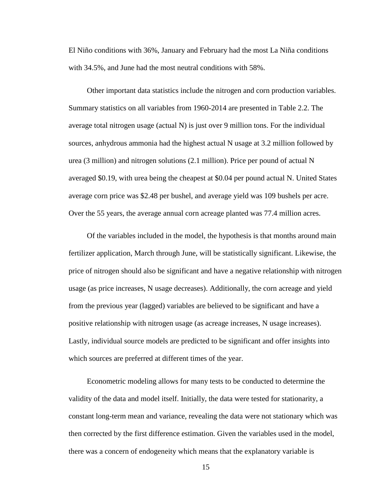El Niño conditions with 36%, January and February had the most La Niña conditions with 34.5%, and June had the most neutral conditions with 58%.

Other important data statistics include the nitrogen and corn production variables. Summary statistics on all variables from 1960-2014 are presented in Table 2.2. The average total nitrogen usage (actual N) is just over 9 million tons. For the individual sources, anhydrous ammonia had the highest actual N usage at 3.2 million followed by urea (3 million) and nitrogen solutions (2.1 million). Price per pound of actual N averaged \$0.19, with urea being the cheapest at \$0.04 per pound actual N. United States average corn price was \$2.48 per bushel, and average yield was 109 bushels per acre. Over the 55 years, the average annual corn acreage planted was 77.4 million acres.

Of the variables included in the model, the hypothesis is that months around main fertilizer application, March through June, will be statistically significant. Likewise, the price of nitrogen should also be significant and have a negative relationship with nitrogen usage (as price increases, N usage decreases). Additionally, the corn acreage and yield from the previous year (lagged) variables are believed to be significant and have a positive relationship with nitrogen usage (as acreage increases, N usage increases). Lastly, individual source models are predicted to be significant and offer insights into which sources are preferred at different times of the year.

Econometric modeling allows for many tests to be conducted to determine the validity of the data and model itself. Initially, the data were tested for stationarity, a constant long-term mean and variance, revealing the data were not stationary which was then corrected by the first difference estimation. Given the variables used in the model, there was a concern of endogeneity which means that the explanatory variable is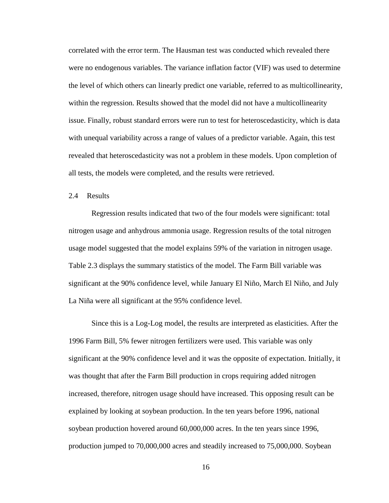correlated with the error term. The Hausman test was conducted which revealed there were no endogenous variables. The variance inflation factor (VIF) was used to determine the level of which others can linearly predict one variable, referred to as multicollinearity, within the regression. Results showed that the model did not have a multicollinearity issue. Finally, robust standard errors were run to test for heteroscedasticity, which is data with unequal variability across a range of values of a predictor variable. Again, this test revealed that heteroscedasticity was not a problem in these models. Upon completion of all tests, the models were completed, and the results were retrieved.

2.4 Results

Regression results indicated that two of the four models were significant: total nitrogen usage and anhydrous ammonia usage. Regression results of the total nitrogen usage model suggested that the model explains 59% of the variation in nitrogen usage. Table 2.3 displays the summary statistics of the model. The Farm Bill variable was significant at the 90% confidence level, while January El Niño, March El Niño, and July La Niña were all significant at the 95% confidence level.

Since this is a Log-Log model, the results are interpreted as elasticities. After the 1996 Farm Bill, 5% fewer nitrogen fertilizers were used. This variable was only significant at the 90% confidence level and it was the opposite of expectation. Initially, it was thought that after the Farm Bill production in crops requiring added nitrogen increased, therefore, nitrogen usage should have increased. This opposing result can be explained by looking at soybean production. In the ten years before 1996, national soybean production hovered around 60,000,000 acres. In the ten years since 1996, production jumped to 70,000,000 acres and steadily increased to 75,000,000. Soybean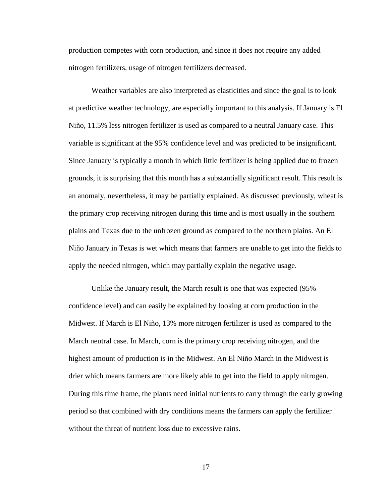production competes with corn production, and since it does not require any added nitrogen fertilizers, usage of nitrogen fertilizers decreased.

Weather variables are also interpreted as elasticities and since the goal is to look at predictive weather technology, are especially important to this analysis. If January is El Niño, 11.5% less nitrogen fertilizer is used as compared to a neutral January case. This variable is significant at the 95% confidence level and was predicted to be insignificant. Since January is typically a month in which little fertilizer is being applied due to frozen grounds, it is surprising that this month has a substantially significant result. This result is an anomaly, nevertheless, it may be partially explained. As discussed previously, wheat is the primary crop receiving nitrogen during this time and is most usually in the southern plains and Texas due to the unfrozen ground as compared to the northern plains. An El Niño January in Texas is wet which means that farmers are unable to get into the fields to apply the needed nitrogen, which may partially explain the negative usage.

Unlike the January result, the March result is one that was expected (95% confidence level) and can easily be explained by looking at corn production in the Midwest. If March is El Niño, 13% more nitrogen fertilizer is used as compared to the March neutral case. In March, corn is the primary crop receiving nitrogen, and the highest amount of production is in the Midwest. An El Niño March in the Midwest is drier which means farmers are more likely able to get into the field to apply nitrogen. During this time frame, the plants need initial nutrients to carry through the early growing period so that combined with dry conditions means the farmers can apply the fertilizer without the threat of nutrient loss due to excessive rains.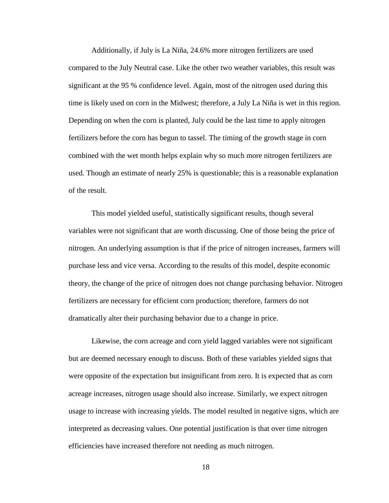Additionally, if July is La Niña, 24.6% more nitrogen fertilizers are used compared to the July Neutral case. Like the other two weather variables, this result was significant at the 95 % confidence level. Again, most of the nitrogen used during this time is likely used on corn in the Midwest; therefore, a July La Niña is wet in this region. Depending on when the corn is planted, July could be the last time to apply nitrogen fertilizers before the corn has begun to tassel. The timing of the growth stage in corn combined with the wet month helps explain why so much more nitrogen fertilizers are used. Though an estimate of nearly 25% is questionable; this is a reasonable explanation of the result.

This model yielded useful, statistically significant results, though several variables were not significant that are worth discussing. One of those being the price of nitrogen. An underlying assumption is that if the price of nitrogen increases, farmers will purchase less and vice versa. According to the results of this model, despite economic theory, the change of the price of nitrogen does not change purchasing behavior. Nitrogen fertilizers are necessary for efficient corn production; therefore, farmers do not dramatically alter their purchasing behavior due to a change in price.

Likewise, the corn acreage and corn yield lagged variables were not significant but are deemed necessary enough to discuss. Both of these variables yielded signs that were opposite of the expectation but insignificant from zero. It is expected that as corn acreage increases, nitrogen usage should also increase. Similarly, we expect nitrogen usage to increase with increasing yields. The model resulted in negative signs, which are interpreted as decreasing values. One potential justification is that over time nitrogen efficiencies have increased therefore not needing as much nitrogen.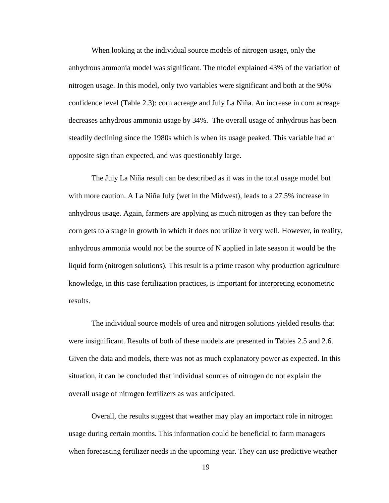When looking at the individual source models of nitrogen usage, only the anhydrous ammonia model was significant. The model explained 43% of the variation of nitrogen usage. In this model, only two variables were significant and both at the 90% confidence level (Table 2.3): corn acreage and July La Niña. An increase in corn acreage decreases anhydrous ammonia usage by 34%. The overall usage of anhydrous has been steadily declining since the 1980s which is when its usage peaked. This variable had an opposite sign than expected, and was questionably large.

The July La Niña result can be described as it was in the total usage model but with more caution. A La Niña July (wet in the Midwest), leads to a 27.5% increase in anhydrous usage. Again, farmers are applying as much nitrogen as they can before the corn gets to a stage in growth in which it does not utilize it very well. However, in reality, anhydrous ammonia would not be the source of N applied in late season it would be the liquid form (nitrogen solutions). This result is a prime reason why production agriculture knowledge, in this case fertilization practices, is important for interpreting econometric results.

The individual source models of urea and nitrogen solutions yielded results that were insignificant. Results of both of these models are presented in Tables 2.5 and 2.6. Given the data and models, there was not as much explanatory power as expected. In this situation, it can be concluded that individual sources of nitrogen do not explain the overall usage of nitrogen fertilizers as was anticipated.

Overall, the results suggest that weather may play an important role in nitrogen usage during certain months. This information could be beneficial to farm managers when forecasting fertilizer needs in the upcoming year. They can use predictive weather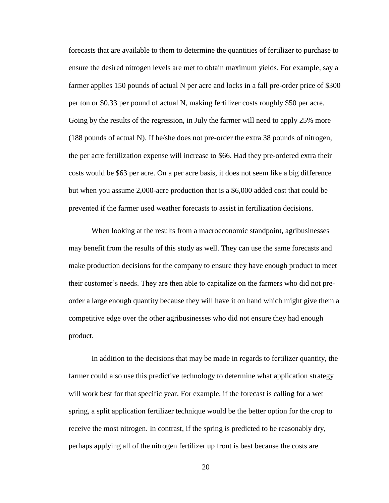forecasts that are available to them to determine the quantities of fertilizer to purchase to ensure the desired nitrogen levels are met to obtain maximum yields. For example, say a farmer applies 150 pounds of actual N per acre and locks in a fall pre-order price of \$300 per ton or \$0.33 per pound of actual N, making fertilizer costs roughly \$50 per acre. Going by the results of the regression, in July the farmer will need to apply 25% more (188 pounds of actual N). If he/she does not pre-order the extra 38 pounds of nitrogen, the per acre fertilization expense will increase to \$66. Had they pre-ordered extra their costs would be \$63 per acre. On a per acre basis, it does not seem like a big difference but when you assume 2,000-acre production that is a \$6,000 added cost that could be prevented if the farmer used weather forecasts to assist in fertilization decisions.

When looking at the results from a macroeconomic standpoint, agribusinesses may benefit from the results of this study as well. They can use the same forecasts and make production decisions for the company to ensure they have enough product to meet their customer's needs. They are then able to capitalize on the farmers who did not preorder a large enough quantity because they will have it on hand which might give them a competitive edge over the other agribusinesses who did not ensure they had enough product.

In addition to the decisions that may be made in regards to fertilizer quantity, the farmer could also use this predictive technology to determine what application strategy will work best for that specific year. For example, if the forecast is calling for a wet spring, a split application fertilizer technique would be the better option for the crop to receive the most nitrogen. In contrast, if the spring is predicted to be reasonably dry, perhaps applying all of the nitrogen fertilizer up front is best because the costs are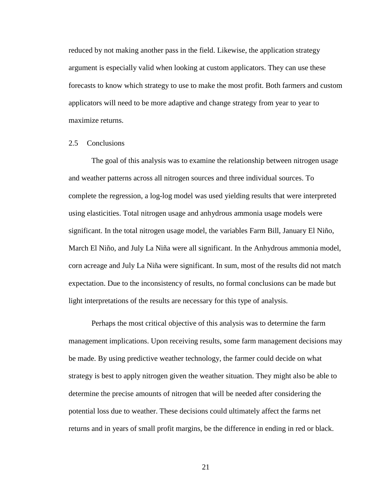reduced by not making another pass in the field. Likewise, the application strategy argument is especially valid when looking at custom applicators. They can use these forecasts to know which strategy to use to make the most profit. Both farmers and custom applicators will need to be more adaptive and change strategy from year to year to maximize returns.

#### 2.5 Conclusions

The goal of this analysis was to examine the relationship between nitrogen usage and weather patterns across all nitrogen sources and three individual sources. To complete the regression, a log-log model was used yielding results that were interpreted using elasticities. Total nitrogen usage and anhydrous ammonia usage models were significant. In the total nitrogen usage model, the variables Farm Bill, January El Niño, March El Niño, and July La Niña were all significant. In the Anhydrous ammonia model, corn acreage and July La Niña were significant. In sum, most of the results did not match expectation. Due to the inconsistency of results, no formal conclusions can be made but light interpretations of the results are necessary for this type of analysis.

Perhaps the most critical objective of this analysis was to determine the farm management implications. Upon receiving results, some farm management decisions may be made. By using predictive weather technology, the farmer could decide on what strategy is best to apply nitrogen given the weather situation. They might also be able to determine the precise amounts of nitrogen that will be needed after considering the potential loss due to weather. These decisions could ultimately affect the farms net returns and in years of small profit margins, be the difference in ending in red or black.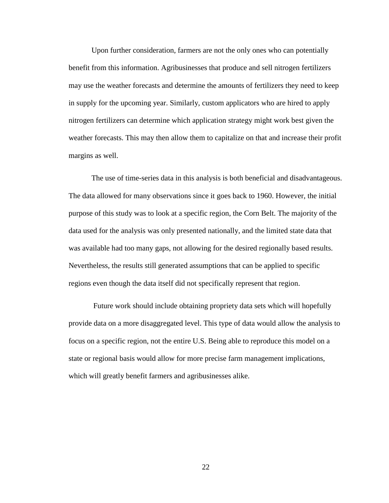Upon further consideration, farmers are not the only ones who can potentially benefit from this information. Agribusinesses that produce and sell nitrogen fertilizers may use the weather forecasts and determine the amounts of fertilizers they need to keep in supply for the upcoming year. Similarly, custom applicators who are hired to apply nitrogen fertilizers can determine which application strategy might work best given the weather forecasts. This may then allow them to capitalize on that and increase their profit margins as well.

The use of time-series data in this analysis is both beneficial and disadvantageous. The data allowed for many observations since it goes back to 1960. However, the initial purpose of this study was to look at a specific region, the Corn Belt. The majority of the data used for the analysis was only presented nationally, and the limited state data that was available had too many gaps, not allowing for the desired regionally based results. Nevertheless, the results still generated assumptions that can be applied to specific regions even though the data itself did not specifically represent that region.

Future work should include obtaining propriety data sets which will hopefully provide data on a more disaggregated level. This type of data would allow the analysis to focus on a specific region, not the entire U.S. Being able to reproduce this model on a state or regional basis would allow for more precise farm management implications, which will greatly benefit farmers and agribusinesses alike.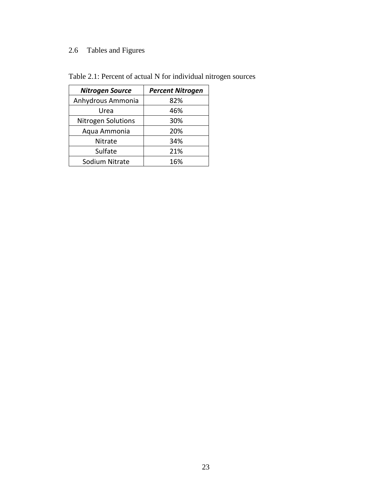## 2.6 Tables and Figures

| <b>Nitrogen Source</b>    | <b>Percent Nitrogen</b> |
|---------------------------|-------------------------|
| Anhydrous Ammonia         | 82%                     |
| Urea                      | 46%                     |
| <b>Nitrogen Solutions</b> | 30%                     |
| Aqua Ammonia              | 20%                     |
| Nitrate                   | 34%                     |
| Sulfate                   | 21%                     |
| Sodium Nitrate            | 16%                     |

Table 2.1: Percent of actual N for individual nitrogen sources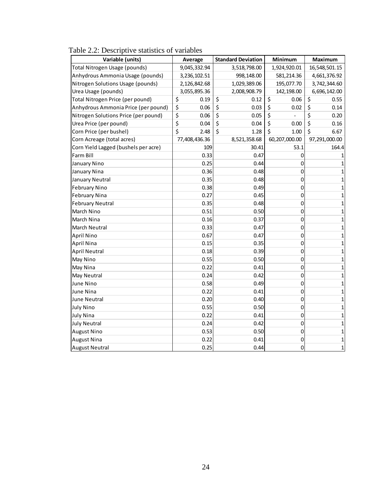| Variable (units)                     | Average       | <b>Standard Deviation</b> | Minimum       | Maximum       |
|--------------------------------------|---------------|---------------------------|---------------|---------------|
| Total Nitrogen Usage (pounds)        | 9,045,332.94  | 3,518,798.00              | 1,924,920.01  | 16,548,501.15 |
| Anhydrous Ammonia Usage (pounds)     | 3,236,102.51  | 998,148.00                | 581,214.36    | 4,661,376.92  |
| Nitrogen Solutions Usage (pounds)    | 2,126,842.68  | 1,029,389.06              | 195,077.70    | 3,742,344.60  |
| Urea Usage (pounds)                  | 3,055,895.36  | 2,008,908.79              | 142,198.00    | 6,696,142.00  |
| Total Nitrogen Price (per pound)     | \$<br>0.19    | \$<br>0.12                | \$<br>0.06    | \$<br>0.55    |
| Anhydrous Ammonia Price (per pound)  | \$<br>0.06    | \$<br>0.03                | \$<br>0.02    | \$<br>0.14    |
| Nitrogen Solutions Price (per pound) | \$<br>0.06    | \$<br>0.05                | \$            | \$<br>0.20    |
| Urea Price (per pound)               | \$<br>0.04    | \$<br>0.04                | \$<br>0.00    | \$<br>0.16    |
| Corn Price (per bushel)              | Ś<br>2.48     | \$<br>1.28                | Ś<br>1.00     | \$<br>6.67    |
| Corn Acreage (total acres)           | 77,408,436.36 | 8,521,358.68              | 60,207,000.00 | 97,291,000.00 |
| Corn Yield Lagged (bushels per acre) | 109           | 30.41                     | 53.1          | 164.4         |
| Farm Bill                            | 0.33          | 0.47                      | 0             | $\mathbf{1}$  |
| January Nino                         | 0.25          | 0.44                      | 0             | $\mathbf{1}$  |
| January Nina                         | 0.36          | 0.48                      | 0             | $\mathbf{1}$  |
| January Neutral                      | 0.35          | 0.48                      | 0             | $\mathbf{1}$  |
| <b>February Nino</b>                 | 0.38          | 0.49                      | 0             | $\mathbf{1}$  |
| <b>February Nina</b>                 | 0.27          | 0.45                      | 0             | $\mathbf{1}$  |
| <b>February Neutral</b>              | 0.35          | 0.48                      | 0             | $\mathbf{1}$  |
| March Nino                           | 0.51          | 0.50                      | 0             | $\mathbf{1}$  |
| March Nina                           | 0.16          | 0.37                      | 0             | $\mathbf{1}$  |
| March Neutral                        | 0.33          | 0.47                      | 0             | $\mathbf{1}$  |
| April Nino                           | 0.67          | 0.47                      | 0             | $\mathbf{1}$  |
| April Nina                           | 0.15          | 0.35                      | 0             | $\mathbf{1}$  |
| <b>April Neutral</b>                 | 0.18          | 0.39                      | 0             | $\mathbf{1}$  |
| May Nino                             | 0.55          | 0.50                      | 0             | $\mathbf{1}$  |
| May Nina                             | 0.22          | 0.41                      | 0             | $\mathbf{1}$  |
| May Neutral                          | 0.24          | 0.42                      | 0             | $\mathbf{1}$  |
| June Nino                            | 0.58          | 0.49                      | 0             | $\mathbf{1}$  |
| June Nina                            | 0.22          | 0.41                      | 0             | $\mathbf{1}$  |
| <b>June Neutral</b>                  | 0.20          | 0.40                      | 0             | $\mathbf{1}$  |
| <b>July Nino</b>                     | 0.55          | 0.50                      | 0             | $\mathbf{1}$  |
| <b>July Nina</b>                     | 0.22          | 0.41                      | 0             | $\mathbf{1}$  |
| <b>July Neutral</b>                  | 0.24          | 0.42                      | 0             | $\mathbf{1}$  |
| <b>August Nino</b>                   | 0.53          | 0.50                      | 0             | $\mathbf{1}$  |
| <b>August Nina</b>                   | 0.22          | 0.41                      | 0             | $\mathbf{1}$  |
| <b>August Neutral</b>                | 0.25          | 0.44                      | 0             | $\mathbf{1}$  |

Table 2.2: Descriptive statistics of variables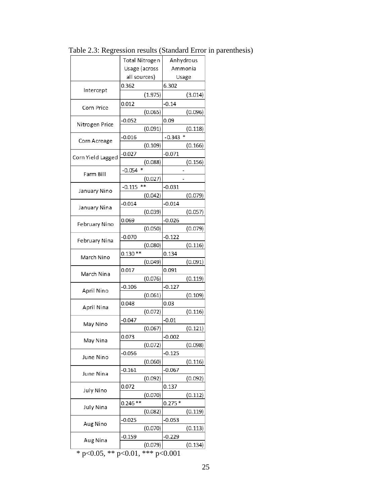|                   | <b>Total Nitrogen</b> | Anhydrous |
|-------------------|-----------------------|-----------|
|                   | Usage (across         | Ammonia   |
|                   | all sources)          | Usage     |
|                   | 0.362                 | 6.302     |
| Intercept         | (1.975)               | (3.014)   |
|                   | 0.012                 | $-0.14$   |
| Corn Price        | (0.065)               | (0.096)   |
|                   | $-0.052$              | 0.09      |
| Nitrogen Price    | (0.091)               | (0.118)   |
|                   | -0.016                | $-0.343$  |
| Corn Acreage      | (0.109)               | (0.166)   |
|                   | $-0.027$              | $-0.071$  |
| Corn Yield Lagged | (0.088)               | (0.156)   |
|                   | *<br>$-0.054$         |           |
| Farm Bill         | (0.027)               |           |
|                   | **<br>$-0.115$        | $-0.031$  |
| January Nino      | (0.042)               | (0.079)   |
|                   | $-0.014$              | $-0.014$  |
| January Nina      | (0.039)               | (0.057)   |
|                   | 0.069                 | $-0.026$  |
| February Nino     | (0.050)               | (0.079)   |
|                   | $-0.070$              | $-0.122$  |
| February Nina     | (0.080)               | (0.116)   |
|                   | $0.130**$             | 0.134     |
| March Nino        | (0.049)               | (0.091)   |
|                   | 0.017                 | 0.091     |
| March Nina        | (0.076)               | (0.119)   |
|                   | $-0.106$              | $-0.127$  |
| April Nino        | (0.061)               | (0.109)   |
|                   | 0.048                 | 0.03      |
| April Nina        | (0.072)               | (0.116)   |
|                   | $-0.047$              | $-0.01$   |
| May Nino          | (0.067)               | (0.121)   |
|                   | 0.073                 | $-0.002$  |
| May Nina          | (0.072)               | (0.098)   |
|                   | $-0.056$              | $-0.125$  |
| June Nino         | (0.060)               | (0.116)   |
|                   | $-0.161$              | $-0.067$  |
| June Nina         | (0.092)               | (0.092)   |
|                   | 0.072                 | 0.137     |
| <b>July Nino</b>  | (0.070)               | (0.112)   |
|                   | $0.246**$             | $0.275*$  |
| <b>July Nina</b>  | (0.082)               | (0.119)   |
|                   | $-0.025$              | $-0.053$  |
| Aug Nino          | (0.070)               | (0.113)   |
|                   | $-0.159$              | $-0.229$  |
| Aug Nina          | (0.079)               | (0.134)   |
|                   |                       |           |

Table 2.3: Regression results (Standard Error in parenthesis)

\* p<0.05, \*\* p<0.01, \*\*\* p<0.001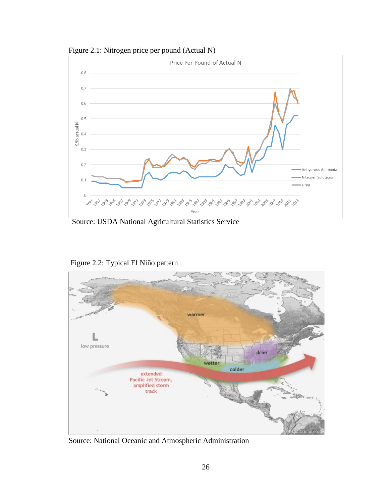Figure 2.1: Nitrogen price per pound (Actual N)



Source: USDA National Agricultural Statistics Service



Figure 2.2: Typical El Niño pattern

Source: National Oceanic and Atmospheric Administration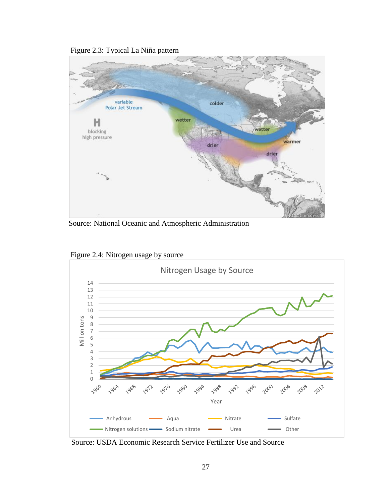Figure 2.3: Typical La Niña pattern



Source: National Oceanic and Atmospheric Administration



Figure 2.4: Nitrogen usage by source

Source: USDA Economic Research Service Fertilizer Use and Source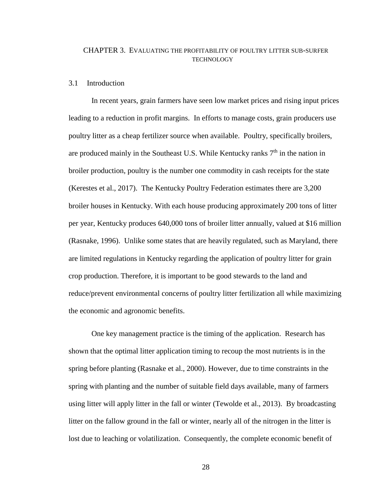#### CHAPTER 3. EVALUATING THE PROFITABILITY OF POULTRY LITTER SUB-SURFER TECHNOLOGY

#### 3.1 Introduction

In recent years, grain farmers have seen low market prices and rising input prices leading to a reduction in profit margins. In efforts to manage costs, grain producers use poultry litter as a cheap fertilizer source when available. Poultry, specifically broilers, are produced mainly in the Southeast U.S. While Kentucky ranks  $7<sup>th</sup>$  in the nation in broiler production, poultry is the number one commodity in cash receipts for the state (Kerestes et al., 2017). The Kentucky Poultry Federation estimates there are 3,200 broiler houses in Kentucky. With each house producing approximately 200 tons of litter per year, Kentucky produces 640,000 tons of broiler litter annually, valued at \$16 million (Rasnake, 1996). Unlike some states that are heavily regulated, such as Maryland, there are limited regulations in Kentucky regarding the application of poultry litter for grain crop production. Therefore, it is important to be good stewards to the land and reduce/prevent environmental concerns of poultry litter fertilization all while maximizing the economic and agronomic benefits.

One key management practice is the timing of the application. Research has shown that the optimal litter application timing to recoup the most nutrients is in the spring before planting (Rasnake et al., 2000). However, due to time constraints in the spring with planting and the number of suitable field days available, many of farmers using litter will apply litter in the fall or winter (Tewolde et al., 2013). By broadcasting litter on the fallow ground in the fall or winter, nearly all of the nitrogen in the litter is lost due to leaching or volatilization. Consequently, the complete economic benefit of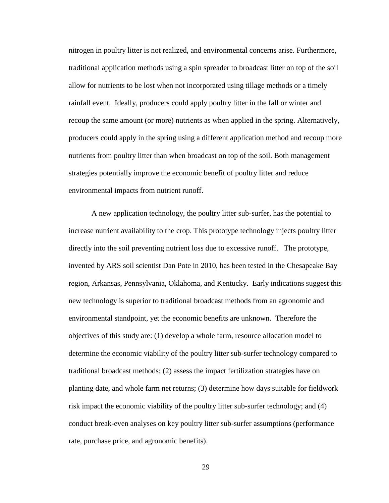nitrogen in poultry litter is not realized, and environmental concerns arise. Furthermore, traditional application methods using a spin spreader to broadcast litter on top of the soil allow for nutrients to be lost when not incorporated using tillage methods or a timely rainfall event. Ideally, producers could apply poultry litter in the fall or winter and recoup the same amount (or more) nutrients as when applied in the spring. Alternatively, producers could apply in the spring using a different application method and recoup more nutrients from poultry litter than when broadcast on top of the soil. Both management strategies potentially improve the economic benefit of poultry litter and reduce environmental impacts from nutrient runoff.

A new application technology, the poultry litter sub-surfer, has the potential to increase nutrient availability to the crop. This prototype technology injects poultry litter directly into the soil preventing nutrient loss due to excessive runoff. The prototype, invented by ARS soil scientist Dan Pote in 2010, has been tested in the Chesapeake Bay region, Arkansas, Pennsylvania, Oklahoma, and Kentucky. Early indications suggest this new technology is superior to traditional broadcast methods from an agronomic and environmental standpoint, yet the economic benefits are unknown. Therefore the objectives of this study are: (1) develop a whole farm, resource allocation model to determine the economic viability of the poultry litter sub-surfer technology compared to traditional broadcast methods; (2) assess the impact fertilization strategies have on planting date, and whole farm net returns; (3) determine how days suitable for fieldwork risk impact the economic viability of the poultry litter sub-surfer technology; and (4) conduct break-even analyses on key poultry litter sub-surfer assumptions (performance rate, purchase price, and agronomic benefits).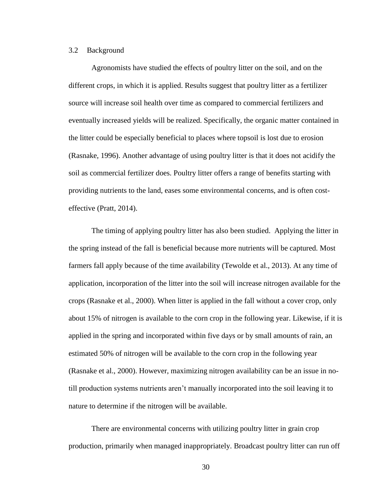#### 3.2 Background

Agronomists have studied the effects of poultry litter on the soil, and on the different crops, in which it is applied. Results suggest that poultry litter as a fertilizer source will increase soil health over time as compared to commercial fertilizers and eventually increased yields will be realized. Specifically, the organic matter contained in the litter could be especially beneficial to places where topsoil is lost due to erosion (Rasnake, 1996). Another advantage of using poultry litter is that it does not acidify the soil as commercial fertilizer does. Poultry litter offers a range of benefits starting with providing nutrients to the land, eases some environmental concerns, and is often costeffective (Pratt, 2014).

The timing of applying poultry litter has also been studied. Applying the litter in the spring instead of the fall is beneficial because more nutrients will be captured. Most farmers fall apply because of the time availability (Tewolde et al., 2013). At any time of application, incorporation of the litter into the soil will increase nitrogen available for the crops (Rasnake et al., 2000). When litter is applied in the fall without a cover crop, only about 15% of nitrogen is available to the corn crop in the following year. Likewise, if it is applied in the spring and incorporated within five days or by small amounts of rain, an estimated 50% of nitrogen will be available to the corn crop in the following year (Rasnake et al., 2000). However, maximizing nitrogen availability can be an issue in notill production systems nutrients aren't manually incorporated into the soil leaving it to nature to determine if the nitrogen will be available.

There are environmental concerns with utilizing poultry litter in grain crop production, primarily when managed inappropriately. Broadcast poultry litter can run off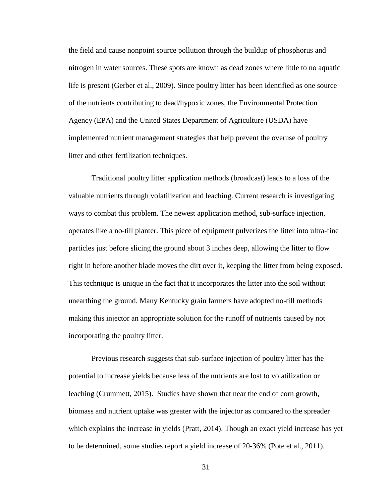the field and cause nonpoint source pollution through the buildup of phosphorus and nitrogen in water sources. These spots are known as dead zones where little to no aquatic life is present (Gerber et al., 2009). Since poultry litter has been identified as one source of the nutrients contributing to dead/hypoxic zones, the Environmental Protection Agency (EPA) and the United States Department of Agriculture (USDA) have implemented nutrient management strategies that help prevent the overuse of poultry litter and other fertilization techniques.

Traditional poultry litter application methods (broadcast) leads to a loss of the valuable nutrients through volatilization and leaching. Current research is investigating ways to combat this problem. The newest application method, sub-surface injection, operates like a no-till planter. This piece of equipment pulverizes the litter into ultra-fine particles just before slicing the ground about 3 inches deep, allowing the litter to flow right in before another blade moves the dirt over it, keeping the litter from being exposed. This technique is unique in the fact that it incorporates the litter into the soil without unearthing the ground. Many Kentucky grain farmers have adopted no-till methods making this injector an appropriate solution for the runoff of nutrients caused by not incorporating the poultry litter.

Previous research suggests that sub-surface injection of poultry litter has the potential to increase yields because less of the nutrients are lost to volatilization or leaching (Crummett, 2015). Studies have shown that near the end of corn growth, biomass and nutrient uptake was greater with the injector as compared to the spreader which explains the increase in yields (Pratt, 2014). Though an exact yield increase has yet to be determined, some studies report a yield increase of 20-36% (Pote et al., 2011).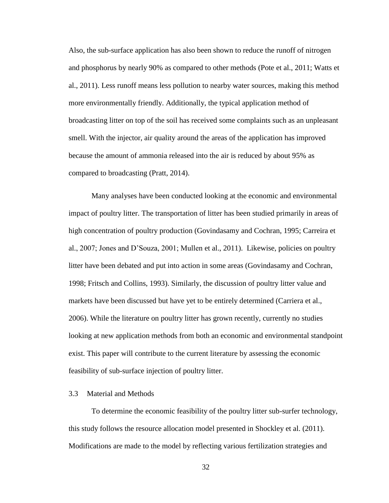Also, the sub-surface application has also been shown to reduce the runoff of nitrogen and phosphorus by nearly 90% as compared to other methods (Pote et al., 2011; Watts et al., 2011). Less runoff means less pollution to nearby water sources, making this method more environmentally friendly. Additionally, the typical application method of broadcasting litter on top of the soil has received some complaints such as an unpleasant smell. With the injector, air quality around the areas of the application has improved because the amount of ammonia released into the air is reduced by about 95% as compared to broadcasting (Pratt, 2014).

Many analyses have been conducted looking at the economic and environmental impact of poultry litter. The transportation of litter has been studied primarily in areas of high concentration of poultry production (Govindasamy and Cochran, 1995; Carreira et al., 2007; Jones and D'Souza, 2001; Mullen et al., 2011). Likewise, policies on poultry litter have been debated and put into action in some areas (Govindasamy and Cochran, 1998; Fritsch and Collins, 1993). Similarly, the discussion of poultry litter value and markets have been discussed but have yet to be entirely determined (Carriera et al., 2006). While the literature on poultry litter has grown recently, currently no studies looking at new application methods from both an economic and environmental standpoint exist. This paper will contribute to the current literature by assessing the economic feasibility of sub-surface injection of poultry litter.

#### 3.3 Material and Methods

To determine the economic feasibility of the poultry litter sub-surfer technology, this study follows the resource allocation model presented in Shockley et al. (2011). Modifications are made to the model by reflecting various fertilization strategies and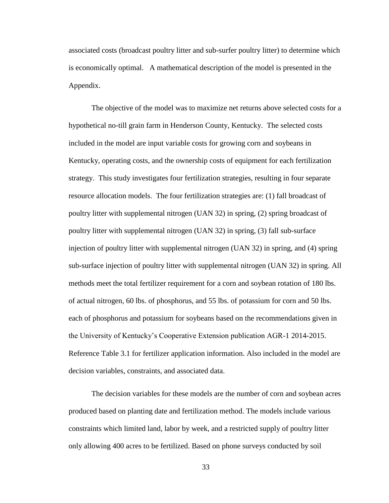associated costs (broadcast poultry litter and sub-surfer poultry litter) to determine which is economically optimal. A mathematical description of the model is presented in the Appendix.

The objective of the model was to maximize net returns above selected costs for a hypothetical no-till grain farm in Henderson County, Kentucky. The selected costs included in the model are input variable costs for growing corn and soybeans in Kentucky, operating costs, and the ownership costs of equipment for each fertilization strategy. This study investigates four fertilization strategies, resulting in four separate resource allocation models. The four fertilization strategies are: (1) fall broadcast of poultry litter with supplemental nitrogen (UAN 32) in spring, (2) spring broadcast of poultry litter with supplemental nitrogen (UAN 32) in spring, (3) fall sub-surface injection of poultry litter with supplemental nitrogen (UAN 32) in spring, and (4) spring sub-surface injection of poultry litter with supplemental nitrogen (UAN 32) in spring. All methods meet the total fertilizer requirement for a corn and soybean rotation of 180 lbs. of actual nitrogen, 60 lbs. of phosphorus, and 55 lbs. of potassium for corn and 50 lbs. each of phosphorus and potassium for soybeans based on the recommendations given in the University of Kentucky's Cooperative Extension publication AGR-1 2014-2015. Reference Table 3.1 for fertilizer application information. Also included in the model are decision variables, constraints, and associated data.

The decision variables for these models are the number of corn and soybean acres produced based on planting date and fertilization method. The models include various constraints which limited land, labor by week, and a restricted supply of poultry litter only allowing 400 acres to be fertilized. Based on phone surveys conducted by soil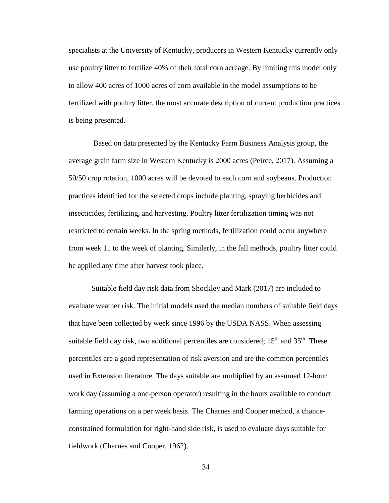specialists at the University of Kentucky, producers in Western Kentucky currently only use poultry litter to fertilize 40% of their total corn acreage. By limiting this model only to allow 400 acres of 1000 acres of corn available in the model assumptions to be fertilized with poultry litter, the most accurate description of current production practices is being presented.

Based on data presented by the Kentucky Farm Business Analysis group, the average grain farm size in Western Kentucky is 2000 acres (Peirce, 2017). Assuming a 50/50 crop rotation, 1000 acres will be devoted to each corn and soybeans. Production practices identified for the selected crops include planting, spraying herbicides and insecticides, fertilizing, and harvesting. Poultry litter fertilization timing was not restricted to certain weeks. In the spring methods, fertilization could occur anywhere from week 11 to the week of planting. Similarly, in the fall methods, poultry litter could be applied any time after harvest took place.

Suitable field day risk data from Shockley and Mark (2017) are included to evaluate weather risk. The initial models used the median numbers of suitable field days that have been collected by week since 1996 by the USDA NASS. When assessing suitable field day risk, two additional percentiles are considered;  $15<sup>th</sup>$  and  $35<sup>th</sup>$ . These percentiles are a good representation of risk aversion and are the common percentiles used in Extension literature. The days suitable are multiplied by an assumed 12-hour work day (assuming a one-person operator) resulting in the hours available to conduct farming operations on a per week basis. The Charnes and Cooper method, a chanceconstrained formulation for right-hand side risk, is used to evaluate days suitable for fieldwork (Charnes and Cooper, 1962).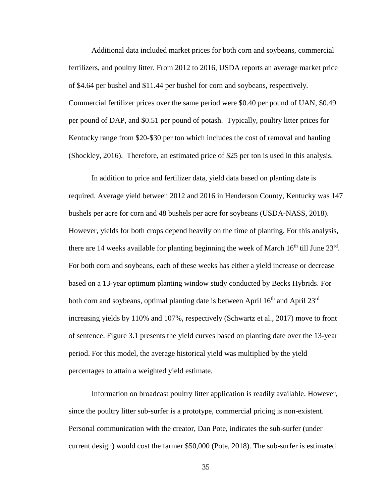Additional data included market prices for both corn and soybeans, commercial fertilizers, and poultry litter. From 2012 to 2016, USDA reports an average market price of \$4.64 per bushel and \$11.44 per bushel for corn and soybeans, respectively. Commercial fertilizer prices over the same period were \$0.40 per pound of UAN, \$0.49 per pound of DAP, and \$0.51 per pound of potash. Typically, poultry litter prices for Kentucky range from \$20-\$30 per ton which includes the cost of removal and hauling (Shockley, 2016). Therefore, an estimated price of \$25 per ton is used in this analysis.

In addition to price and fertilizer data, yield data based on planting date is required. Average yield between 2012 and 2016 in Henderson County, Kentucky was 147 bushels per acre for corn and 48 bushels per acre for soybeans (USDA-NASS, 2018). However, yields for both crops depend heavily on the time of planting. For this analysis, there are 14 weeks available for planting beginning the week of March  $16<sup>th</sup>$  till June  $23<sup>rd</sup>$ . For both corn and soybeans, each of these weeks has either a yield increase or decrease based on a 13-year optimum planting window study conducted by Becks Hybrids. For both corn and soybeans, optimal planting date is between April  $16<sup>th</sup>$  and April  $23<sup>rd</sup>$ increasing yields by 110% and 107%, respectively (Schwartz et al., 2017) move to front of sentence. Figure 3.1 presents the yield curves based on planting date over the 13-year period. For this model, the average historical yield was multiplied by the yield percentages to attain a weighted yield estimate.

Information on broadcast poultry litter application is readily available. However, since the poultry litter sub-surfer is a prototype, commercial pricing is non-existent. Personal communication with the creator, Dan Pote, indicates the sub-surfer (under current design) would cost the farmer \$50,000 (Pote, 2018). The sub-surfer is estimated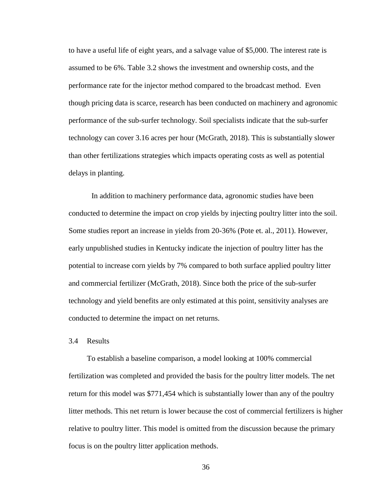to have a useful life of eight years, and a salvage value of \$5,000. The interest rate is assumed to be 6%. Table 3.2 shows the investment and ownership costs, and the performance rate for the injector method compared to the broadcast method. Even though pricing data is scarce, research has been conducted on machinery and agronomic performance of the sub-surfer technology. Soil specialists indicate that the sub-surfer technology can cover 3.16 acres per hour (McGrath, 2018). This is substantially slower than other fertilizations strategies which impacts operating costs as well as potential delays in planting.

In addition to machinery performance data, agronomic studies have been conducted to determine the impact on crop yields by injecting poultry litter into the soil. Some studies report an increase in yields from 20-36% (Pote et. al., 2011). However, early unpublished studies in Kentucky indicate the injection of poultry litter has the potential to increase corn yields by 7% compared to both surface applied poultry litter and commercial fertilizer (McGrath, 2018). Since both the price of the sub-surfer technology and yield benefits are only estimated at this point, sensitivity analyses are conducted to determine the impact on net returns.

#### 3.4 Results

To establish a baseline comparison, a model looking at 100% commercial fertilization was completed and provided the basis for the poultry litter models. The net return for this model was \$771,454 which is substantially lower than any of the poultry litter methods. This net return is lower because the cost of commercial fertilizers is higher relative to poultry litter. This model is omitted from the discussion because the primary focus is on the poultry litter application methods.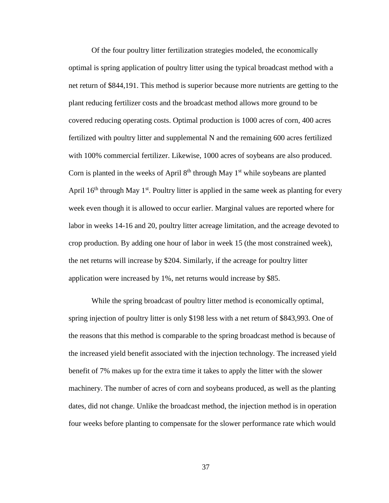Of the four poultry litter fertilization strategies modeled, the economically optimal is spring application of poultry litter using the typical broadcast method with a net return of \$844,191. This method is superior because more nutrients are getting to the plant reducing fertilizer costs and the broadcast method allows more ground to be covered reducing operating costs. Optimal production is 1000 acres of corn, 400 acres fertilized with poultry litter and supplemental N and the remaining 600 acres fertilized with 100% commercial fertilizer. Likewise, 1000 acres of soybeans are also produced. Corn is planted in the weeks of April  $8<sup>th</sup>$  through May  $1<sup>st</sup>$  while soybeans are planted April  $16<sup>th</sup>$  through May  $1<sup>st</sup>$ . Poultry litter is applied in the same week as planting for every week even though it is allowed to occur earlier. Marginal values are reported where for labor in weeks 14-16 and 20, poultry litter acreage limitation, and the acreage devoted to crop production. By adding one hour of labor in week 15 (the most constrained week), the net returns will increase by \$204. Similarly, if the acreage for poultry litter application were increased by 1%, net returns would increase by \$85.

While the spring broadcast of poultry litter method is economically optimal, spring injection of poultry litter is only \$198 less with a net return of \$843,993. One of the reasons that this method is comparable to the spring broadcast method is because of the increased yield benefit associated with the injection technology. The increased yield benefit of 7% makes up for the extra time it takes to apply the litter with the slower machinery. The number of acres of corn and soybeans produced, as well as the planting dates, did not change. Unlike the broadcast method, the injection method is in operation four weeks before planting to compensate for the slower performance rate which would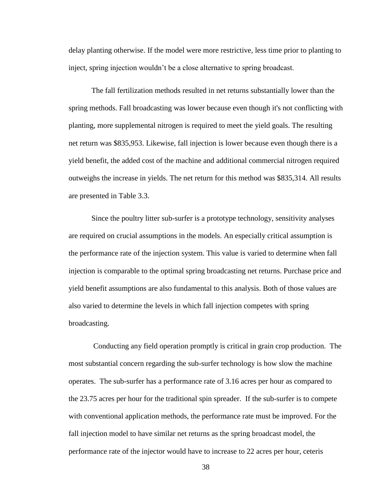delay planting otherwise. If the model were more restrictive, less time prior to planting to inject, spring injection wouldn't be a close alternative to spring broadcast.

The fall fertilization methods resulted in net returns substantially lower than the spring methods. Fall broadcasting was lower because even though it's not conflicting with planting, more supplemental nitrogen is required to meet the yield goals. The resulting net return was \$835,953. Likewise, fall injection is lower because even though there is a yield benefit, the added cost of the machine and additional commercial nitrogen required outweighs the increase in yields. The net return for this method was \$835,314. All results are presented in Table 3.3.

Since the poultry litter sub-surfer is a prototype technology, sensitivity analyses are required on crucial assumptions in the models. An especially critical assumption is the performance rate of the injection system. This value is varied to determine when fall injection is comparable to the optimal spring broadcasting net returns. Purchase price and yield benefit assumptions are also fundamental to this analysis. Both of those values are also varied to determine the levels in which fall injection competes with spring broadcasting.

Conducting any field operation promptly is critical in grain crop production. The most substantial concern regarding the sub-surfer technology is how slow the machine operates. The sub-surfer has a performance rate of 3.16 acres per hour as compared to the 23.75 acres per hour for the traditional spin spreader. If the sub-surfer is to compete with conventional application methods, the performance rate must be improved. For the fall injection model to have similar net returns as the spring broadcast model, the performance rate of the injector would have to increase to 22 acres per hour, ceteris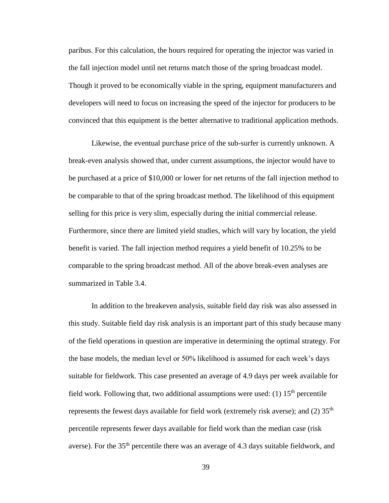paribus. For this calculation, the hours required for operating the injector was varied in the fall injection model until net returns match those of the spring broadcast model. Though it proved to be economically viable in the spring, equipment manufacturers and developers will need to focus on increasing the speed of the injector for producers to be convinced that this equipment is the better alternative to traditional application methods.

Likewise, the eventual purchase price of the sub-surfer is currently unknown. A break-even analysis showed that, under current assumptions, the injector would have to be purchased at a price of \$10,000 or lower for net returns of the fall injection method to be comparable to that of the spring broadcast method. The likelihood of this equipment selling for this price is very slim, especially during the initial commercial release. Furthermore, since there are limited yield studies, which will vary by location, the yield benefit is varied. The fall injection method requires a yield benefit of 10.25% to be comparable to the spring broadcast method. All of the above break-even analyses are summarized in Table 3.4.

In addition to the breakeven analysis, suitable field day risk was also assessed in this study. Suitable field day risk analysis is an important part of this study because many of the field operations in question are imperative in determining the optimal strategy. For the base models, the median level or 50% likelihood is assumed for each week's days suitable for fieldwork. This case presented an average of 4.9 days per week available for field work. Following that, two additional assumptions were used:  $(1)$  15<sup>th</sup> percentile represents the fewest days available for field work (extremely risk averse); and (2)  $35<sup>th</sup>$ percentile represents fewer days available for field work than the median case (risk averse). For the 35<sup>th</sup> percentile there was an average of 4.3 days suitable fieldwork, and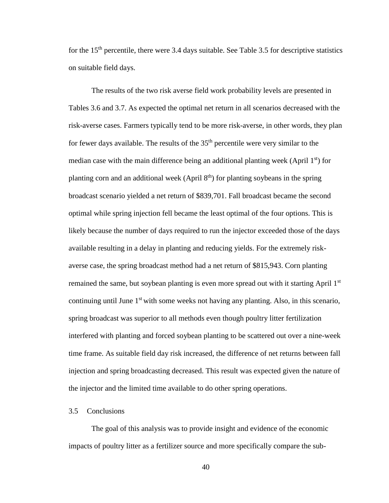for the  $15<sup>th</sup>$  percentile, there were 3.4 days suitable. See Table 3.5 for descriptive statistics on suitable field days.

The results of the two risk averse field work probability levels are presented in Tables 3.6 and 3.7. As expected the optimal net return in all scenarios decreased with the risk-averse cases. Farmers typically tend to be more risk-averse, in other words, they plan for fewer days available. The results of the  $35<sup>th</sup>$  percentile were very similar to the median case with the main difference being an additional planting week (April  $1<sup>st</sup>$ ) for planting corn and an additional week (April  $8<sup>th</sup>$ ) for planting soybeans in the spring broadcast scenario yielded a net return of \$839,701. Fall broadcast became the second optimal while spring injection fell became the least optimal of the four options. This is likely because the number of days required to run the injector exceeded those of the days available resulting in a delay in planting and reducing yields. For the extremely riskaverse case, the spring broadcast method had a net return of \$815,943. Corn planting remained the same, but soybean planting is even more spread out with it starting April  $1<sup>st</sup>$ continuing until June  $1<sup>st</sup>$  with some weeks not having any planting. Also, in this scenario, spring broadcast was superior to all methods even though poultry litter fertilization interfered with planting and forced soybean planting to be scattered out over a nine-week time frame. As suitable field day risk increased, the difference of net returns between fall injection and spring broadcasting decreased. This result was expected given the nature of the injector and the limited time available to do other spring operations.

#### 3.5 Conclusions

The goal of this analysis was to provide insight and evidence of the economic impacts of poultry litter as a fertilizer source and more specifically compare the sub-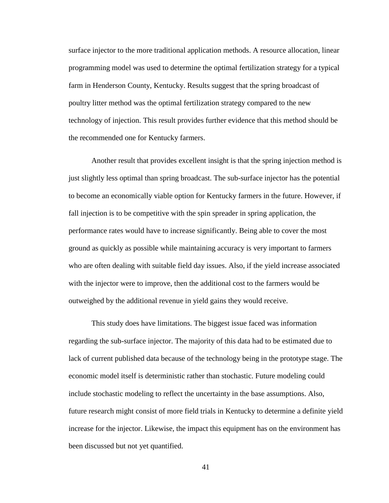surface injector to the more traditional application methods. A resource allocation, linear programming model was used to determine the optimal fertilization strategy for a typical farm in Henderson County, Kentucky. Results suggest that the spring broadcast of poultry litter method was the optimal fertilization strategy compared to the new technology of injection. This result provides further evidence that this method should be the recommended one for Kentucky farmers.

Another result that provides excellent insight is that the spring injection method is just slightly less optimal than spring broadcast. The sub-surface injector has the potential to become an economically viable option for Kentucky farmers in the future. However, if fall injection is to be competitive with the spin spreader in spring application, the performance rates would have to increase significantly. Being able to cover the most ground as quickly as possible while maintaining accuracy is very important to farmers who are often dealing with suitable field day issues. Also, if the yield increase associated with the injector were to improve, then the additional cost to the farmers would be outweighed by the additional revenue in yield gains they would receive.

This study does have limitations. The biggest issue faced was information regarding the sub-surface injector. The majority of this data had to be estimated due to lack of current published data because of the technology being in the prototype stage. The economic model itself is deterministic rather than stochastic. Future modeling could include stochastic modeling to reflect the uncertainty in the base assumptions. Also, future research might consist of more field trials in Kentucky to determine a definite yield increase for the injector. Likewise, the impact this equipment has on the environment has been discussed but not yet quantified.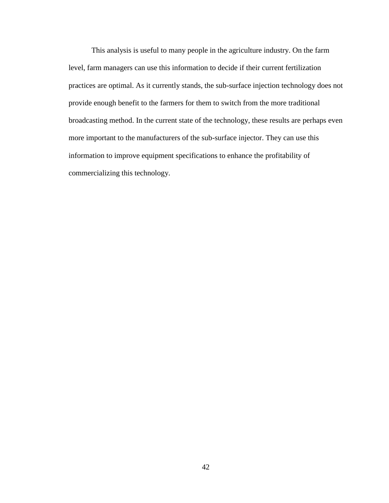This analysis is useful to many people in the agriculture industry. On the farm level, farm managers can use this information to decide if their current fertilization practices are optimal. As it currently stands, the sub-surface injection technology does not provide enough benefit to the farmers for them to switch from the more traditional broadcasting method. In the current state of the technology, these results are perhaps even more important to the manufacturers of the sub-surface injector. They can use this information to improve equipment specifications to enhance the profitability of commercializing this technology.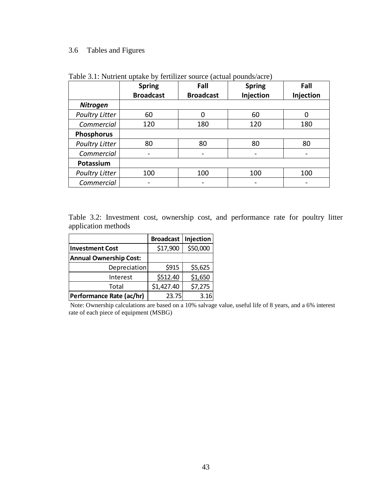## 3.6 Tables and Figures

|                       | <b>Spring</b>    | Fall                     | <b>Spring</b> | Fall      |
|-----------------------|------------------|--------------------------|---------------|-----------|
|                       | <b>Broadcast</b> | <b>Broadcast</b>         | Injection     | Injection |
| <b>Nitrogen</b>       |                  |                          |               |           |
| <b>Poultry Litter</b> | 60               | 0                        | 60            | 0         |
| Commercial            | 120              | 180                      | 120           | 180       |
| <b>Phosphorus</b>     |                  |                          |               |           |
| <b>Poultry Litter</b> | 80               | 80                       | 80            | 80        |
| Commercial            |                  |                          |               |           |
| Potassium             |                  |                          |               |           |
| <b>Poultry Litter</b> | 100              | 100                      | 100           | 100       |
| Commercial            |                  | $\overline{\phantom{0}}$ |               |           |

Table 3.1: Nutrient uptake by fertilizer source (actual pounds/acre)

Table 3.2: Investment cost, ownership cost, and performance rate for poultry litter application methods

|                               | <b>Broadcast</b> | Injection |
|-------------------------------|------------------|-----------|
| <b>Investment Cost</b>        | \$17,900         | \$50,000  |
| <b>Annual Ownership Cost:</b> |                  |           |
| Depreciation                  | \$915            | \$5,625   |
| Interest                      | \$512.40         | \$1,650   |
| Total                         | \$1,427.40       | \$7,275   |
| Performance Rate (ac/hr)      | 23.75            | 3.16      |

Note: Ownership calculations are based on a 10% salvage value, useful life of 8 years, and a 6% interest rate of each piece of equipment (MSBG)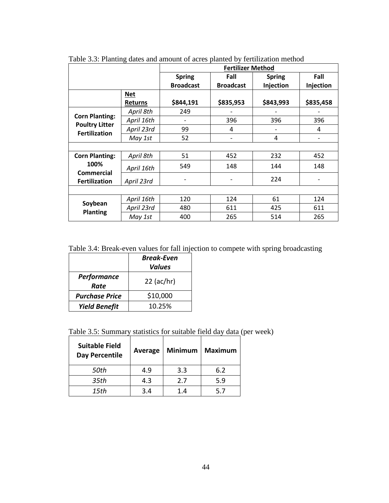|                                                |                | <b>Fertilizer Method</b> |                  |               |           |
|------------------------------------------------|----------------|--------------------------|------------------|---------------|-----------|
|                                                |                | <b>Spring</b>            | Fall             | <b>Spring</b> | Fall      |
|                                                |                | <b>Broadcast</b>         | <b>Broadcast</b> | Injection     | Injection |
|                                                | <b>Net</b>     |                          |                  |               |           |
|                                                | <b>Returns</b> | \$844,191                | \$835,953        | \$843,993     | \$835,458 |
|                                                | April 8th      | 249                      |                  |               |           |
| <b>Corn Planting:</b><br><b>Poultry Litter</b> | April 16th     |                          | 396              | 396           | 396       |
| <b>Fertilization</b>                           | April 23rd     | 99                       | 4                |               | 4         |
|                                                | May 1st        | 52                       |                  | 4             |           |
|                                                |                |                          |                  |               |           |
| <b>Corn Planting:</b>                          | April 8th      | 51                       | 452              | 232           | 452       |
| 100%                                           | April 16th     | 549                      | 148              | 144           | 148       |
| Commercial<br><b>Fertilization</b>             | April 23rd     |                          |                  | 224           |           |
|                                                |                |                          |                  |               |           |
|                                                | April 16th     | 120                      | 124              | 61            | 124       |
| Soybean<br><b>Planting</b>                     | April 23rd     | 480                      | 611              | 425           | 611       |
|                                                | May 1st        | 400                      | 265              | 514           | 265       |

Table 3.3: Planting dates and amount of acres planted by fertilization method

Table 3.4: Break-even values for fall injection to compete with spring broadcasting

|                       | <b>Break-Even</b><br><b>Values</b> |  |
|-----------------------|------------------------------------|--|
| Performance<br>Rate   | $22$ (ac/hr)                       |  |
| <b>Purchase Price</b> | \$10,000                           |  |
| <b>Yield Benefit</b>  | 10.25%                             |  |

Table 3.5: Summary statistics for suitable field day data (per week)

| <b>Suitable Field</b><br><b>Day Percentile</b> | Average | <b>Minimum</b> | Maximum |
|------------------------------------------------|---------|----------------|---------|
| 50th                                           | 4.9     | 3.3            | 6.2     |
| 35th                                           | 4.3     | 2.7            | 5.9     |
| 15th                                           | 3.4     | 1.4            | 57      |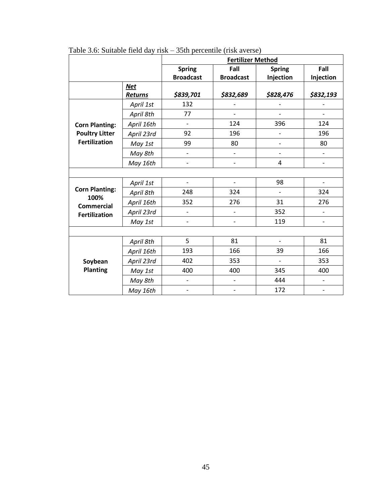|                           |                | <b>Fertilizer Method</b>     |                              |                          |                          |
|---------------------------|----------------|------------------------------|------------------------------|--------------------------|--------------------------|
|                           |                | <b>Spring</b>                | Fall                         | <b>Spring</b>            | Fall                     |
|                           |                | <b>Broadcast</b>             | <b>Broadcast</b>             | Injection                | Injection                |
|                           | <b>Net</b>     |                              |                              |                          |                          |
|                           | <b>Returns</b> | \$839,701                    | \$832,689                    | \$828,476                | \$832,193                |
|                           | April 1st      | 132                          |                              |                          |                          |
|                           | April 8th      | 77                           | $\overline{\phantom{0}}$     | $\overline{a}$           | $\overline{\phantom{0}}$ |
| <b>Corn Planting:</b>     | April 16th     | $\overline{\phantom{a}}$     | 124                          | 396                      | 124                      |
| <b>Poultry Litter</b>     | April 23rd     | 92                           | 196                          | $\overline{a}$           | 196                      |
| <b>Fertilization</b>      | May 1st        | 99                           | 80                           | $\overline{\phantom{0}}$ | 80                       |
|                           | May 8th        | $\overline{\phantom{a}}$     | $\overline{\phantom{0}}$     | $\overline{\phantom{0}}$ | $\frac{1}{2}$            |
|                           | May 16th       | $\overline{\phantom{a}}$     | $\overline{\phantom{0}}$     | 4                        | $\overline{a}$           |
|                           |                |                              |                              |                          |                          |
|                           | April 1st      | $\qquad \qquad -$            | $\overline{a}$               | 98                       |                          |
| <b>Corn Planting:</b>     | April 8th      | 248                          | 324                          |                          | 324                      |
| 100%<br><b>Commercial</b> | April 16th     | 352                          | 276                          | 31                       | 276                      |
| <b>Fertilization</b>      | April 23rd     | $\overline{a}$               |                              | 352                      | $\overline{a}$           |
|                           | May 1st        | $\qquad \qquad -$            | $\overline{\phantom{0}}$     | 119                      | $\overline{\phantom{0}}$ |
|                           |                |                              |                              |                          |                          |
|                           | April 8th      | 5                            | 81                           | $\overline{\phantom{0}}$ | 81                       |
|                           | April 16th     | 193                          | 166                          | 39                       | 166                      |
| Soybean                   | April 23rd     | 402                          | 353                          | $\overline{a}$           | 353                      |
| <b>Planting</b>           | May 1st        | 400                          | 400                          | 345                      | 400                      |
|                           | May 8th        | $\qquad \qquad \blacksquare$ | $\overline{\phantom{0}}$     | 444                      | $\overline{\phantom{0}}$ |
|                           | May 16th       | $\overline{a}$               | $\qquad \qquad \blacksquare$ | 172                      |                          |

Table 3.6: Suitable field day risk – 35th percentile (risk averse)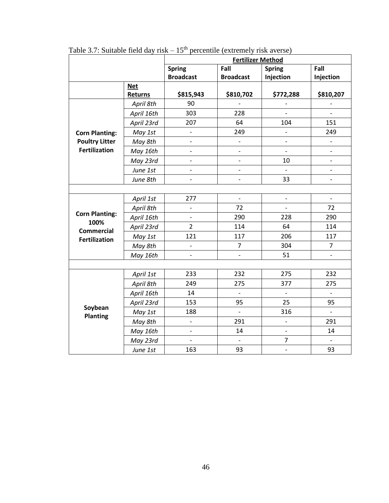|                                                                            |                | <b>Fertilizer Method</b> |                          |                              |                          |
|----------------------------------------------------------------------------|----------------|--------------------------|--------------------------|------------------------------|--------------------------|
|                                                                            |                | <b>Spring</b>            | Fall                     | <b>Spring</b>                | Fall                     |
|                                                                            |                | <b>Broadcast</b>         | <b>Broadcast</b>         | Injection                    | Injection                |
|                                                                            | <b>Net</b>     |                          |                          |                              |                          |
|                                                                            | <b>Returns</b> | \$815,943                | \$810,702                | \$772,288                    | \$810,207                |
| <b>Corn Planting:</b><br><b>Poultry Litter</b><br><b>Fertilization</b>     | April 8th      | 90                       |                          |                              |                          |
|                                                                            | April 16th     | 303                      | 228                      | $\frac{1}{2}$                | $\frac{1}{2}$            |
|                                                                            | April 23rd     | 207                      | 64                       | 104                          | 151                      |
|                                                                            | May 1st        | $\blacksquare$           | 249                      | $\qquad \qquad \blacksquare$ | 249                      |
|                                                                            | May 8th        | $\overline{\phantom{a}}$ | $\overline{\phantom{0}}$ | $\overline{a}$               | $\overline{a}$           |
|                                                                            | May 16th       | $\overline{\phantom{a}}$ | $\overline{a}$           | $\overline{a}$               | $\overline{a}$           |
|                                                                            | May 23rd       | $\overline{\phantom{a}}$ | $\overline{\phantom{0}}$ | 10                           | $\frac{1}{2}$            |
|                                                                            | June 1st       | $\overline{a}$           | $\overline{a}$           | $\overline{a}$               | $\overline{a}$           |
|                                                                            | June 8th       | $\overline{\phantom{a}}$ | $\overline{a}$           | 33                           | $\overline{\phantom{0}}$ |
|                                                                            |                |                          |                          |                              |                          |
| <b>Corn Planting:</b><br>100%<br><b>Commercial</b><br><b>Fertilization</b> | April 1st      | 277                      | $\overline{\phantom{0}}$ | $\frac{1}{2}$                | $\blacksquare$           |
|                                                                            | April 8th      | $\overline{a}$           | 72                       | $\frac{1}{2}$                | 72                       |
|                                                                            | April 16th     | $\qquad \qquad -$        | 290                      | 228                          | 290                      |
|                                                                            | April 23rd     | $\overline{2}$           | 114                      | 64                           | 114                      |
|                                                                            | May 1st        | 121                      | 117                      | 206                          | 117                      |
|                                                                            | May 8th        | $\blacksquare$           | $\overline{7}$           | 304                          | $\overline{7}$           |
|                                                                            | May 16th       | $\overline{\phantom{a}}$ | $\overline{a}$           | 51                           | $\overline{a}$           |
|                                                                            |                |                          |                          |                              |                          |
| Soybean<br><b>Planting</b>                                                 | April 1st      | 233                      | 232                      | 275                          | 232                      |
|                                                                            | April 8th      | 249                      | 275                      | 377                          | 275                      |
|                                                                            | April 16th     | 14                       | $\overline{a}$           | $\frac{1}{2}$                | $\frac{1}{2}$            |
|                                                                            | April 23rd     | 153                      | 95                       | 25                           | 95                       |
|                                                                            | May 1st        | 188                      | $\overline{\phantom{0}}$ | 316                          | $\frac{1}{2}$            |
|                                                                            | May 8th        | $\blacksquare$           | 291                      | $\overline{\phantom{a}}$     | 291                      |
|                                                                            | May 16th       |                          | 14                       | $\frac{1}{2}$                | 14                       |
|                                                                            | May 23rd       | $\overline{a}$           |                          | $\overline{7}$               |                          |
|                                                                            | June 1st       | 163                      | 93                       | $\blacksquare$               | 93                       |

Table 3.7: Suitable field day risk  $-15<sup>th</sup>$  percentile (extremely risk averse)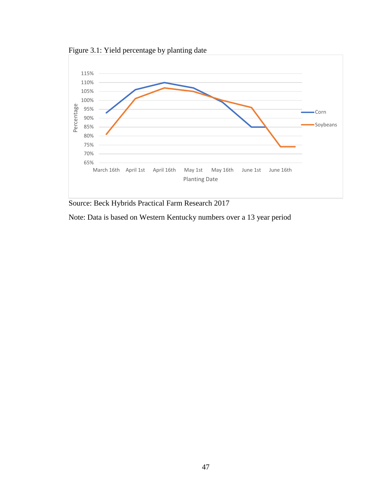



Source: Beck Hybrids Practical Farm Research 2017

Note: Data is based on Western Kentucky numbers over a 13 year period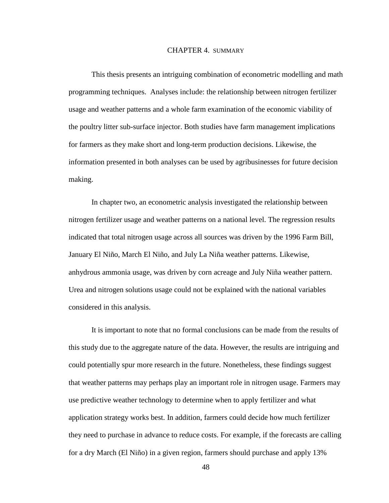#### CHAPTER 4. SUMMARY

This thesis presents an intriguing combination of econometric modelling and math programming techniques. Analyses include: the relationship between nitrogen fertilizer usage and weather patterns and a whole farm examination of the economic viability of the poultry litter sub-surface injector. Both studies have farm management implications for farmers as they make short and long-term production decisions. Likewise, the information presented in both analyses can be used by agribusinesses for future decision making.

In chapter two, an econometric analysis investigated the relationship between nitrogen fertilizer usage and weather patterns on a national level. The regression results indicated that total nitrogen usage across all sources was driven by the 1996 Farm Bill, January El Niño, March El Niño, and July La Niña weather patterns. Likewise, anhydrous ammonia usage, was driven by corn acreage and July Niña weather pattern. Urea and nitrogen solutions usage could not be explained with the national variables considered in this analysis.

It is important to note that no formal conclusions can be made from the results of this study due to the aggregate nature of the data. However, the results are intriguing and could potentially spur more research in the future. Nonetheless, these findings suggest that weather patterns may perhaps play an important role in nitrogen usage. Farmers may use predictive weather technology to determine when to apply fertilizer and what application strategy works best. In addition, farmers could decide how much fertilizer they need to purchase in advance to reduce costs. For example, if the forecasts are calling for a dry March (El Niño) in a given region, farmers should purchase and apply 13%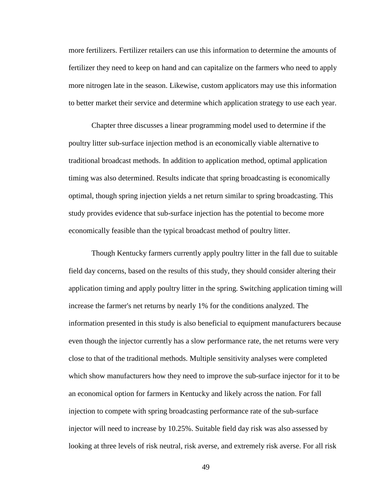more fertilizers. Fertilizer retailers can use this information to determine the amounts of fertilizer they need to keep on hand and can capitalize on the farmers who need to apply more nitrogen late in the season. Likewise, custom applicators may use this information to better market their service and determine which application strategy to use each year.

Chapter three discusses a linear programming model used to determine if the poultry litter sub-surface injection method is an economically viable alternative to traditional broadcast methods. In addition to application method, optimal application timing was also determined. Results indicate that spring broadcasting is economically optimal, though spring injection yields a net return similar to spring broadcasting. This study provides evidence that sub-surface injection has the potential to become more economically feasible than the typical broadcast method of poultry litter.

Though Kentucky farmers currently apply poultry litter in the fall due to suitable field day concerns, based on the results of this study, they should consider altering their application timing and apply poultry litter in the spring. Switching application timing will increase the farmer's net returns by nearly 1% for the conditions analyzed. The information presented in this study is also beneficial to equipment manufacturers because even though the injector currently has a slow performance rate, the net returns were very close to that of the traditional methods. Multiple sensitivity analyses were completed which show manufacturers how they need to improve the sub-surface injector for it to be an economical option for farmers in Kentucky and likely across the nation. For fall injection to compete with spring broadcasting performance rate of the sub-surface injector will need to increase by 10.25%. Suitable field day risk was also assessed by looking at three levels of risk neutral, risk averse, and extremely risk averse. For all risk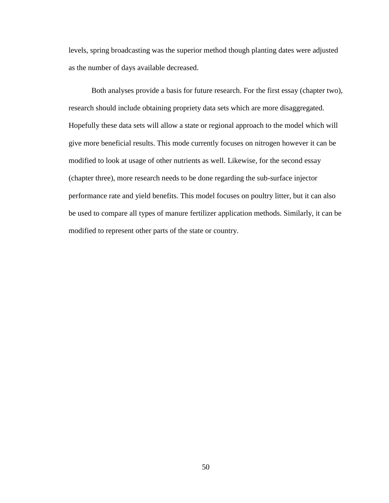levels, spring broadcasting was the superior method though planting dates were adjusted as the number of days available decreased.

<span id="page-57-0"></span>Both analyses provide a basis for future research. For the first essay (chapter two), research should include obtaining propriety data sets which are more disaggregated. Hopefully these data sets will allow a state or regional approach to the model which will give more beneficial results. This mode currently focuses on nitrogen however it can be modified to look at usage of other nutrients as well. Likewise, for the second essay (chapter three), more research needs to be done regarding the sub-surface injector performance rate and yield benefits. This model focuses on poultry litter, but it can also be used to compare all types of manure fertilizer application methods. Similarly, it can be modified to represent other parts of the state or country.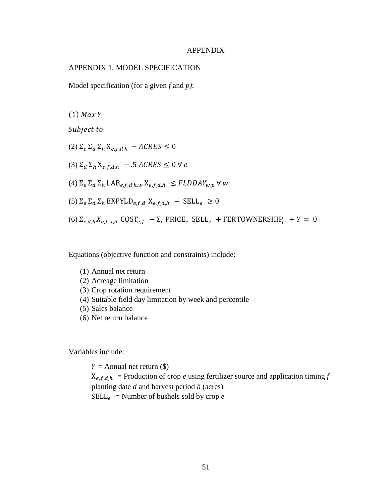#### APPENDIX

#### <span id="page-58-0"></span>APPENDIX 1. MODEL SPECIFICATION

Model specification (for a given *f* and *p)*:

 $(1)$  Max Y

Subject to:

(2)  $\Sigma_e \Sigma_d \Sigma_h X_{e.f.d.h} - ACRES \leq 0$ (3)  $\Sigma_d \Sigma_h X_{efdh}$  – .5  $ACRES \leq 0$   $\forall e$ (4)  $\Sigma_e \Sigma_d \Sigma_h$  LAB<sub>e,f,d,h,w</sub>  $X_{e,f,d,h} \leq FLDDAY_{w,p}$   $\forall$  w (5)  $\Sigma_e \Sigma_d \Sigma_h$  EXPYLD<sub>e,f,d</sub>  $X_{e,f,d,h}$  – SELL<sub>e</sub>  $\geq 0$ (6)  $\Sigma_{e,d,h} X_{e,f,d,h}$  COST<sub>ef</sub>  $-\Sigma_e$  PRICE<sub>e</sub> SELL<sub>e</sub> + FERTOWNERSHIP<sub>f</sub> +  $Y = 0$ 

Equations (objective function and constraints) include:

- (1) Annual net return
- (2) Acreage limitation
- (3) Crop rotation requirement
- (4) Suitable field day limitation by week and percentile
- (5) Sales balance
- (6) Net return balance

Variables include:

 $Y =$  Annual net return (\$)  $X_{e,f,d,h}$  = Production of crop *e* using fertilizer source and application timing *f* planting date *d* and harvest period *h* (acres)  $SELL<sub>e</sub>$  = Number of bushels sold by crop *e*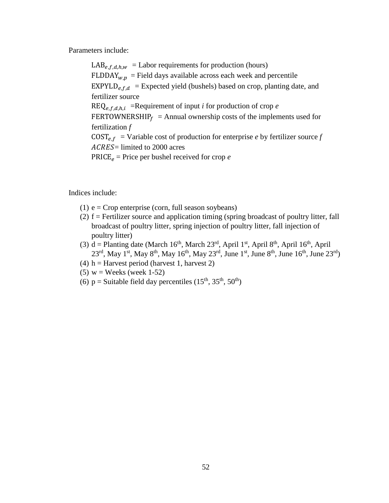Parameters include:

 $LAB_{e,f,d,h,w}$  = Labor requirements for production (hours)  $FLDDAY_{w,p}$  = Field days available across each week and percentile EXPYLD<sub>e, f,d</sub> = Expected yield (bushels) based on crop, planting date, and fertilizer source  $REQ_{e,f,d,h,i}$  =Requirement of input *i* for production of crop *e* FERTOWNERSHIP $_f$  = Annual ownership costs of the implements used for fertilization *f*  $COST_{e,f}$  = Variable cost of production for enterprise *e* by fertilizer source *f*  $ACRES =$  limited to 2000 acres PRICE $_e$  = Price per bushel received for crop  $e$ 

Indices include:

- (1)  $e = \text{Crop}$  enterprise (corn, full season soybeans)
- (2) f = Fertilizer source and application timing (spring broadcast of poultry litter, fall broadcast of poultry litter, spring injection of poultry litter, fall injection of poultry litter)
- (3) d = Planting date (March  $16<sup>th</sup>$ , March  $23<sup>rd</sup>$ , April  $1<sup>st</sup>$ , April  $8<sup>th</sup>$ , April  $16<sup>th</sup>$ , April 23<sup>rd</sup>, May 1<sup>st</sup>, May 8<sup>th</sup>, May 16<sup>th</sup>, May 23<sup>rd</sup>, June 1<sup>st</sup>, June 8<sup>th</sup>, June 16<sup>th</sup>, June 23<sup>rd</sup>)
- (4) h = Harvest period (harvest 1, harvest 2)
- (5)  $w = \text{Weeks}$  (week 1-52)
- (6)  $p =$  Suitable field day percentiles (15<sup>th</sup>, 35<sup>th</sup>, 50<sup>th</sup>)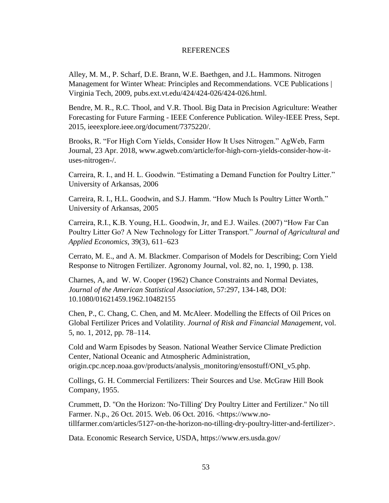#### **REFERENCES**

<span id="page-60-0"></span>Alley, M. M., P. Scharf, D.E. Brann, W.E. Baethgen, and J.L. Hammons. Nitrogen Management for Winter Wheat: Principles and Recommendations. VCE Publications | Virginia Tech, 2009, pubs.ext.vt.edu/424/424-026/424-026.html.

Bendre, M. R., R.C. Thool, and V.R. Thool. Big Data in Precision Agriculture: Weather Forecasting for Future Farming - IEEE Conference Publication. Wiley-IEEE Press, Sept. 2015, ieeexplore.ieee.org/document/7375220/.

Brooks, R. "For High Corn Yields, Consider How It Uses Nitrogen." AgWeb, Farm Journal, 23 Apr. 2018, www.agweb.com/article/for-high-corn-yields-consider-how-ituses-nitrogen-/.

Carreira, R. I., and H. L. Goodwin. "Estimating a Demand Function for Poultry Litter." University of Arkansas, 2006

Carreira, R. I., H.L. Goodwin, and S.J. Hamm. "How Much Is Poultry Litter Worth." University of Arkansas, 2005

Carreira, R.I., K.B. Young, H.L. Goodwin, Jr, and E.J. Wailes. (2007) "How Far Can Poultry Litter Go? A New Technology for Litter Transport." *Journal of Agricultural and Applied Economics,* 39(3), 611–623

Cerrato, M. E., and A. M. Blackmer. Comparison of Models for Describing; Corn Yield Response to Nitrogen Fertilizer. Agronomy Journal, vol. 82, no. 1, 1990, p. 138.

Charnes, A, and W. W. Cooper (1962) Chance Constraints and Normal Deviates, *Journal of the American Statistical Association*, 57:297, 134-148, DOI: 10.1080/01621459.1962.10482155

Chen, P., C. Chang, C. Chen, and M. McAleer. Modelling the Effects of Oil Prices on Global Fertilizer Prices and Volatility. *Journal of Risk and Financial Management*, vol. 5, no. 1, 2012, pp. 78–114.

Cold and Warm Episodes by Season. National Weather Service Climate Prediction Center, National Oceanic and Atmospheric Administration, origin.cpc.ncep.noaa.gov/products/analysis\_monitoring/ensostuff/ONI\_v5.php.

Collings, G. H. Commercial Fertilizers: Their Sources and Use. McGraw Hill Book Company, 1955.

Crummett, D. "On the Horizon: 'No-Tilling' Dry Poultry Litter and Fertilizer." No till Farmer. N.p., 26 Oct. 2015. Web. 06 Oct. 2016. <https://www.notillfarmer.com/articles/5127-on-the-horizon-no-tilling-dry-poultry-litter-and-fertilizer>.

Data. Economic Research Service, USDA, https://www.ers.usda.gov/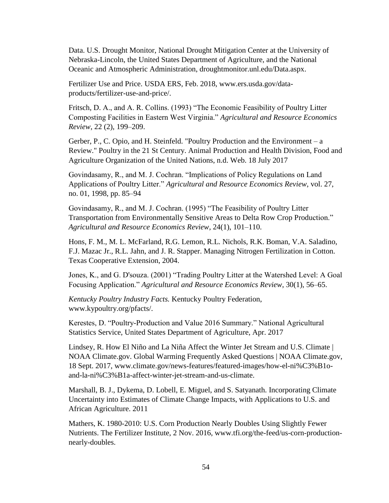Data. U.S. Drought Monitor, National Drought Mitigation Center at the University of Nebraska-Lincoln, the United States Department of Agriculture, and the National Oceanic and Atmospheric Administration, droughtmonitor.unl.edu/Data.aspx.

Fertilizer Use and Price. USDA ERS, Feb. 2018, www.ers.usda.gov/dataproducts/fertilizer-use-and-price/.

Fritsch, D. A., and A. R. Collins. (1993) "The Economic Feasibility of Poultry Litter Composting Facilities in Eastern West Virginia." *Agricultural and Resource Economics Review*, 22 (2), 199–209.

Gerber, P., C. Opio, and H. Steinfeld. "Poultry Production and the Environment – a Review." Poultry in the 21 St Century. Animal Production and Health Division, Food and Agriculture Organization of the United Nations, n.d. Web. 18 July 2017

Govindasamy, R., and M. J. Cochran. "Implications of Policy Regulations on Land Applications of Poultry Litter." *Agricultural and Resource Economics Review*, vol. 27, no. 01, 1998, pp. 85–94

Govindasamy, R., and M. J. Cochran. (1995) "The Feasibility of Poultry Litter Transportation from Environmentally Sensitive Areas to Delta Row Crop Production." *Agricultural and Resource Economics Review*, 24(1), 101–110.

Hons, F. M., M. L. McFarland, R.G. Lemon, R.L. Nichols, R.K. Boman, V.A. Saladino, F.J. Mazac Jr., R.L. Jahn, and J. R. Stapper. Managing Nitrogen Fertilization in Cotton. Texas Cooperative Extension, 2004.

Jones, K., and G. D'souza. (2001) "Trading Poultry Litter at the Watershed Level: A Goal Focusing Application." *Agricultural and Resource Economics Review*, 30(1), 56–65.

*Kentucky Poultry Industry Facts.* Kentucky Poultry Federation, www.kypoultry.org/pfacts/.

Kerestes, D. "Poultry-Production and Value 2016 Summary." National Agricultural Statistics Service, United States Department of Agriculture, Apr. 2017

Lindsey, R. How El Niño and La Niña Affect the Winter Jet Stream and U.S. Climate | NOAA Climate.gov. Global Warming Frequently Asked Questions | NOAA Climate.gov, 18 Sept. 2017, www.climate.gov/news-features/featured-images/how-el-ni%C3%B1oand-la-ni%C3%B1a-affect-winter-jet-stream-and-us-climate.

Marshall, B. J., Dykema, D. Lobell, E. Miguel, and S. Satyanath. Incorporating Climate Uncertainty into Estimates of Climate Change Impacts, with Applications to U.S. and African Agriculture. 2011

Mathers, K. 1980-2010: U.S. Corn Production Nearly Doubles Using Slightly Fewer Nutrients. The Fertilizer Institute, 2 Nov. 2016, www.tfi.org/the-feed/us-corn-productionnearly-doubles.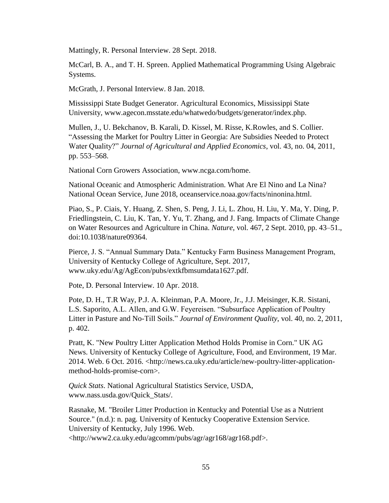Mattingly, R. Personal Interview. 28 Sept. 2018.

McCarl, B. A., and T. H. Spreen. Applied Mathematical Programming Using Algebraic Systems.

McGrath, J. Personal Interview. 8 Jan. 2018.

Mississippi State Budget Generator. Agricultural Economics, Mississippi State University, www.agecon.msstate.edu/whatwedo/budgets/generator/index.php.

Mullen, J., U. Bekchanov, B. Karali, D. Kissel, M. Risse, K.Rowles, and S. Collier. "Assessing the Market for Poultry Litter in Georgia: Are Subsidies Needed to Protect Water Quality?" *Journal of Agricultural and Applied Economics*, vol. 43, no. 04, 2011, pp. 553–568.

National Corn Growers Association, www.ncga.com/home.

National Oceanic and Atmospheric Administration. What Are El Nino and La Nina? National Ocean Service, June 2018, oceanservice.noaa.gov/facts/ninonina.html.

Piao, S., P. Ciais, Y. Huang, Z. Shen, S. Peng, J. Li, L. Zhou, H. Liu, Y. Ma, Y. Ding, P. Friedlingstein, C. Liu, K. Tan, Y. Yu, T. Zhang, and J. Fang. Impacts of Climate Change on Water Resources and Agriculture in China. *Nature*, vol. 467, 2 Sept. 2010, pp. 43–51., doi:10.1038/nature09364.

Pierce, J. S. "Annual Summary Data." Kentucky Farm Business Management Program, University of Kentucky College of Agriculture, Sept. 2017, www.uky.edu/Ag/AgEcon/pubs/extkfbmsumdata1627.pdf.

Pote, D. Personal Interview. 10 Apr. 2018.

Pote, D. H., T.R Way, P.J. A. Kleinman, P.A. Moore, Jr., J.J. Meisinger, K.R. Sistani, L.S. Saporito, A.L. Allen, and G.W. Feyereisen. "Subsurface Application of Poultry Litter in Pasture and No-Till Soils." *Journal of Environment Quality*, vol. 40, no. 2, 2011, p. 402.

Pratt, K. "New Poultry Litter Application Method Holds Promise in Corn." UK AG News. University of Kentucky College of Agriculture, Food, and Environment, 19 Mar. 2014. Web. 6 Oct. 2016. <http://news.ca.uky.edu/article/new-poultry-litter-applicationmethod-holds-promise-corn>.

*Quick Stats*. National Agricultural Statistics Service, USDA, www.nass.usda.gov/Quick\_Stats/.

Rasnake, M. "Broiler Litter Production in Kentucky and Potential Use as a Nutrient Source." (n.d.): n. pag. University of Kentucky Cooperative Extension Service. University of Kentucky, July 1996. Web. <http://www2.ca.uky.edu/agcomm/pubs/agr/agr168/agr168.pdf>.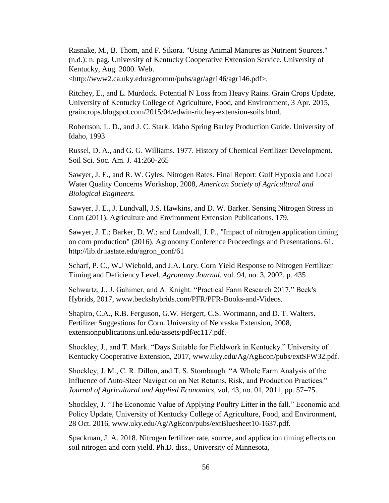Rasnake, M., B. Thom, and F. Sikora. "Using Animal Manures as Nutrient Sources." (n.d.): n. pag. University of Kentucky Cooperative Extension Service. University of Kentucky, Aug. 2000. Web.

<http://www2.ca.uky.edu/agcomm/pubs/agr/agr146/agr146.pdf>.

Ritchey, E., and L. Murdock. Potential N Loss from Heavy Rains. Grain Crops Update, University of Kentucky College of Agriculture, Food, and Environment, 3 Apr. 2015, graincrops.blogspot.com/2015/04/edwin-ritchey-extension-soils.html.

Robertson, L. D., and J. C. Stark. Idaho Spring Barley Production Guide. University of Idaho, 1993

Russel, D. A., and G. G. Williams. 1977. History of Chemical Fertilizer Development. Soil Sci. Soc. Am. J. 41:260-265

Sawyer, J. E., and R. W. Gyles. Nitrogen Rates. Final Report: Gulf Hypoxia and Local Water Quality Concerns Workshop, 2008, *American Society of Agricultural and Biological Engineers.*

Sawyer, J. E., J. Lundvall, J.S. Hawkins, and D. W. Barker. Sensing Nitrogen Stress in Corn (2011). Agriculture and Environment Extension Publications. 179.

Sawyer, J. E.; Barker, D. W.; and Lundvall, J. P., "Impact of nitrogen application timing on corn production" (2016). Agronomy Conference Proceedings and Presentations. 61. http://lib.dr.iastate.edu/agron\_conf/61

Scharf, P. C., W.J Wiebold, and J.A. Lory. Corn Yield Response to Nitrogen Fertilizer Timing and Deficiency Level. *Agronomy Journal*, vol. 94, no. 3, 2002, p. 435

Schwartz, J., J. Gahimer, and A. Knight. "Practical Farm Research 2017." Beck's Hybrids, 2017, www.beckshybrids.com/PFR/PFR-Books-and-Videos.

Shapiro, C.A., R.B. Ferguson, G.W. Hergert, C.S. Wortmann, and D. T. Walters. Fertilizer Suggestions for Corn. University of Nebraska Extension, 2008, extensionpublications.unl.edu/assets/pdf/ec117.pdf.

Shockley, J., and T. Mark. "Days Suitable for Fieldwork in Kentucky." University of Kentucky Cooperative Extension, 2017, www.uky.edu/Ag/AgEcon/pubs/extSFW32.pdf.

Shockley, J. M., C. R. Dillon, and T. S. Stombaugh. "A Whole Farm Analysis of the Influence of Auto-Steer Navigation on Net Returns, Risk, and Production Practices." *Journal of Agricultural and Applied Economics*, vol. 43, no. 01, 2011, pp. 57–75.

Shockley, J. "The Economic Value of Applying Poultry Litter in the fall." Economic and Policy Update, University of Kentucky College of Agriculture, Food, and Environment, 28 Oct. 2016, www.uky.edu/Ag/AgEcon/pubs/extBluesheet10-1637.pdf.

Spackman, J. A. 2018. Nitrogen fertilizer rate, source, and application timing effects on soil nitrogen and corn yield. Ph.D. diss., University of Minnesota,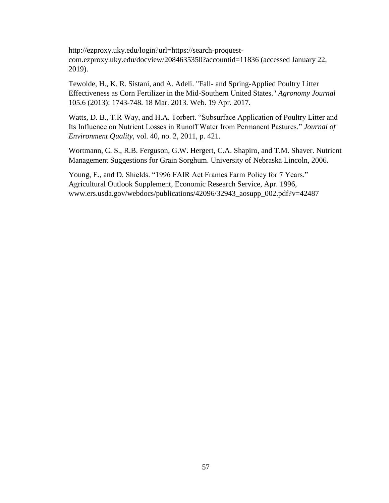http://ezproxy.uky.edu/login?url=https://search-proquestcom.ezproxy.uky.edu/docview/2084635350?accountid=11836 (accessed January 22, 2019).

Tewolde, H., K. R. Sistani, and A. Adeli. "Fall- and Spring-Applied Poultry Litter Effectiveness as Corn Fertilizer in the Mid-Southern United States." *Agronomy Journal*  105.6 (2013): 1743-748. 18 Mar. 2013. Web. 19 Apr. 2017.

Watts, D. B., T.R Way, and H.A. Torbert. "Subsurface Application of Poultry Litter and Its Influence on Nutrient Losses in Runoff Water from Permanent Pastures." *Journal of Environment Quality*, vol. 40, no. 2, 2011, p. 421.

Wortmann, C. S., R.B. Ferguson, G.W. Hergert, C.A. Shapiro, and T.M. Shaver. Nutrient Management Suggestions for Grain Sorghum. University of Nebraska Lincoln, 2006.

Young, E., and D. Shields. "1996 FAIR Act Frames Farm Policy for 7 Years." Agricultural Outlook Supplement, Economic Research Service, Apr. 1996, www.ers.usda.gov/webdocs/publications/42096/32943\_aosupp\_002.pdf?v=42487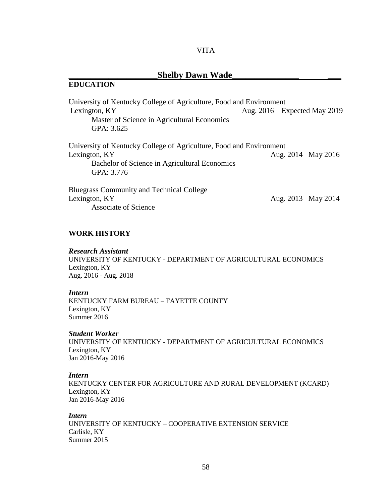#### VITA

## **\_\_\_\_\_\_\_\_\_\_\_\_\_\_\_\_\_\_\_\_Shelby Dawn Wade\_\_\_\_\_\_\_\_\_\_\_\_\_\_\_ \_\_\_**

## <span id="page-65-0"></span>**EDUCATION**

University of Kentucky College of Agriculture, Food and Environment Lexington, KY Aug. 2016 – Expected May 2019 Master of Science in Agricultural Economics GPA: 3.625 University of Kentucky College of Agriculture, Food and Environment Lexington, KY Aug. 2014– May 2016 Bachelor of Science in Agricultural Economics GPA: 3.776

Bluegrass Community and Technical College Lexington, KY Aug. 2013– May 2014 Associate of Science

## **WORK HISTORY**

#### *Research Assistant*

UNIVERSITY OF KENTUCKY - DEPARTMENT OF AGRICULTURAL ECONOMICS Lexington, KY Aug. 2016 - Aug. 2018

#### *Intern*

KENTUCKY FARM BUREAU – FAYETTE COUNTY Lexington, KY Summer 2016

#### *Student Worker*

UNIVERSITY OF KENTUCKY - DEPARTMENT OF AGRICULTURAL ECONOMICS Lexington, KY Jan 2016-May 2016

#### *Intern*

KENTUCKY CENTER FOR AGRICULTURE AND RURAL DEVELOPMENT (KCARD) Lexington, KY Jan 2016-May 2016

#### *Intern*

UNIVERSITY OF KENTUCKY – COOPERATIVE EXTENSION SERVICE Carlisle, KY Summer 2015